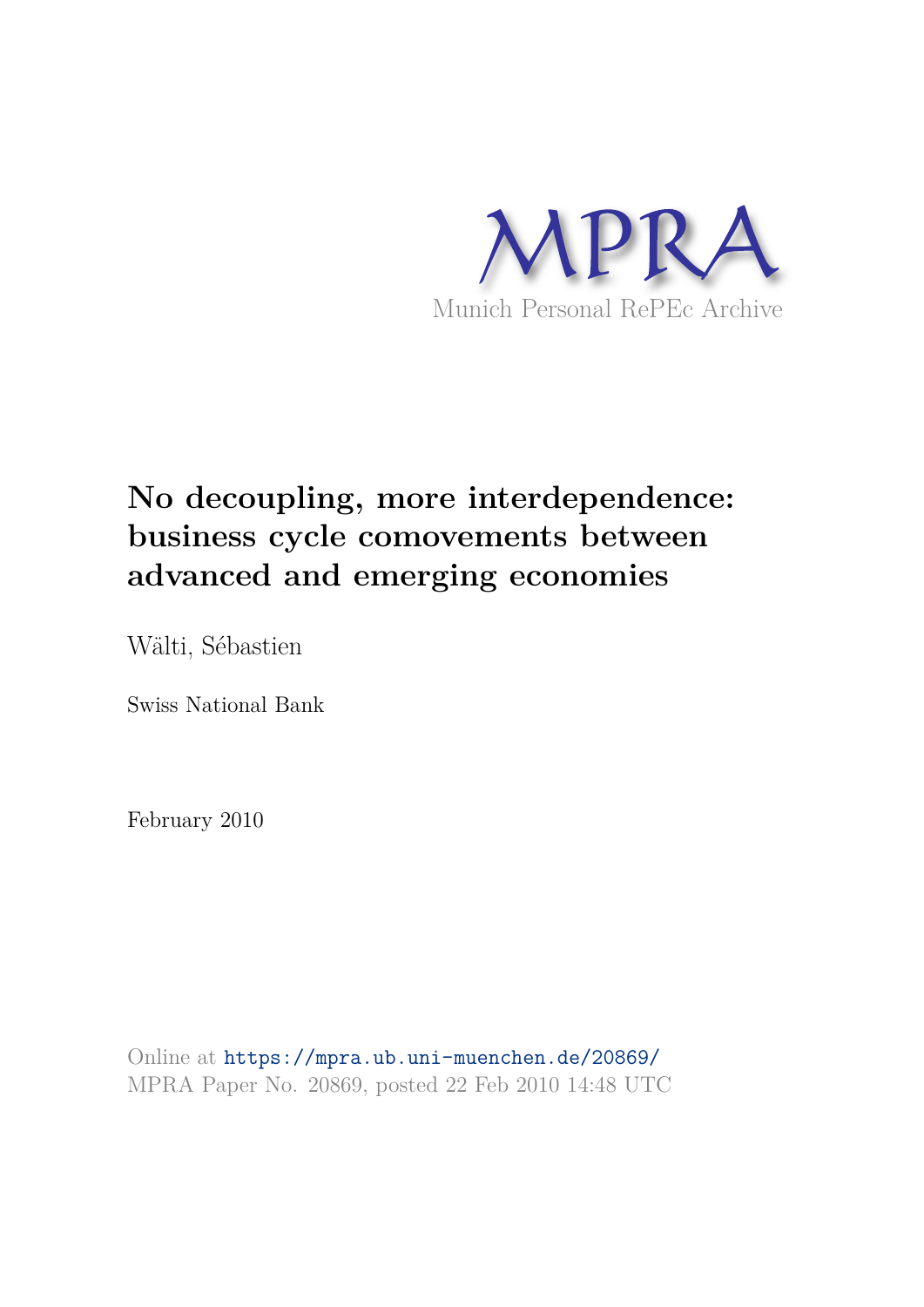

# **No decoupling, more interdependence: business cycle comovements between advanced and emerging economies**

Wälti, Sébastien

Swiss National Bank

February 2010

Online at https://mpra.ub.uni-muenchen.de/20869/ MPRA Paper No. 20869, posted 22 Feb 2010 14:48 UTC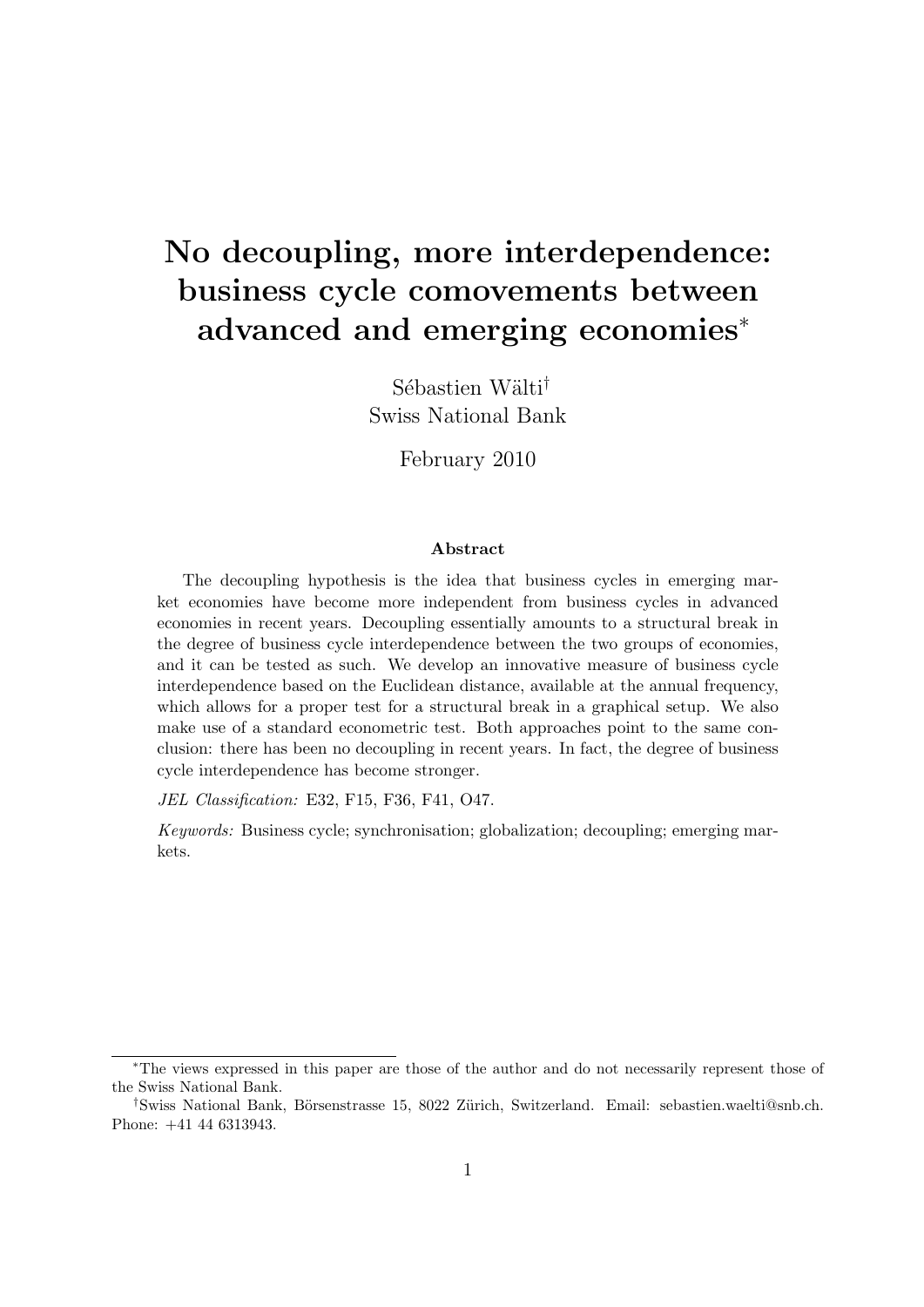# No decoupling, more interdependence: business cycle comovements between advanced and emerging economies<sup>∗</sup>

Sébastien Wälti<sup>†</sup> Swiss National Bank

February 2010

#### Abstract

The decoupling hypothesis is the idea that business cycles in emerging market economies have become more independent from business cycles in advanced economies in recent years. Decoupling essentially amounts to a structural break in the degree of business cycle interdependence between the two groups of economies, and it can be tested as such. We develop an innovative measure of business cycle interdependence based on the Euclidean distance, available at the annual frequency, which allows for a proper test for a structural break in a graphical setup. We also make use of a standard econometric test. Both approaches point to the same conclusion: there has been no decoupling in recent years. In fact, the degree of business cycle interdependence has become stronger.

JEL Classification: E32, F15, F36, F41, O47.

Keywords: Business cycle; synchronisation; globalization; decoupling; emerging markets.

<sup>∗</sup>The views expressed in this paper are those of the author and do not necessarily represent those of the Swiss National Bank.

<sup>&</sup>lt;sup>†</sup>Swiss National Bank, Börsenstrasse 15, 8022 Zürich, Switzerland. Email: sebastien.waelti@snb.ch. Phone: +41 44 6313943.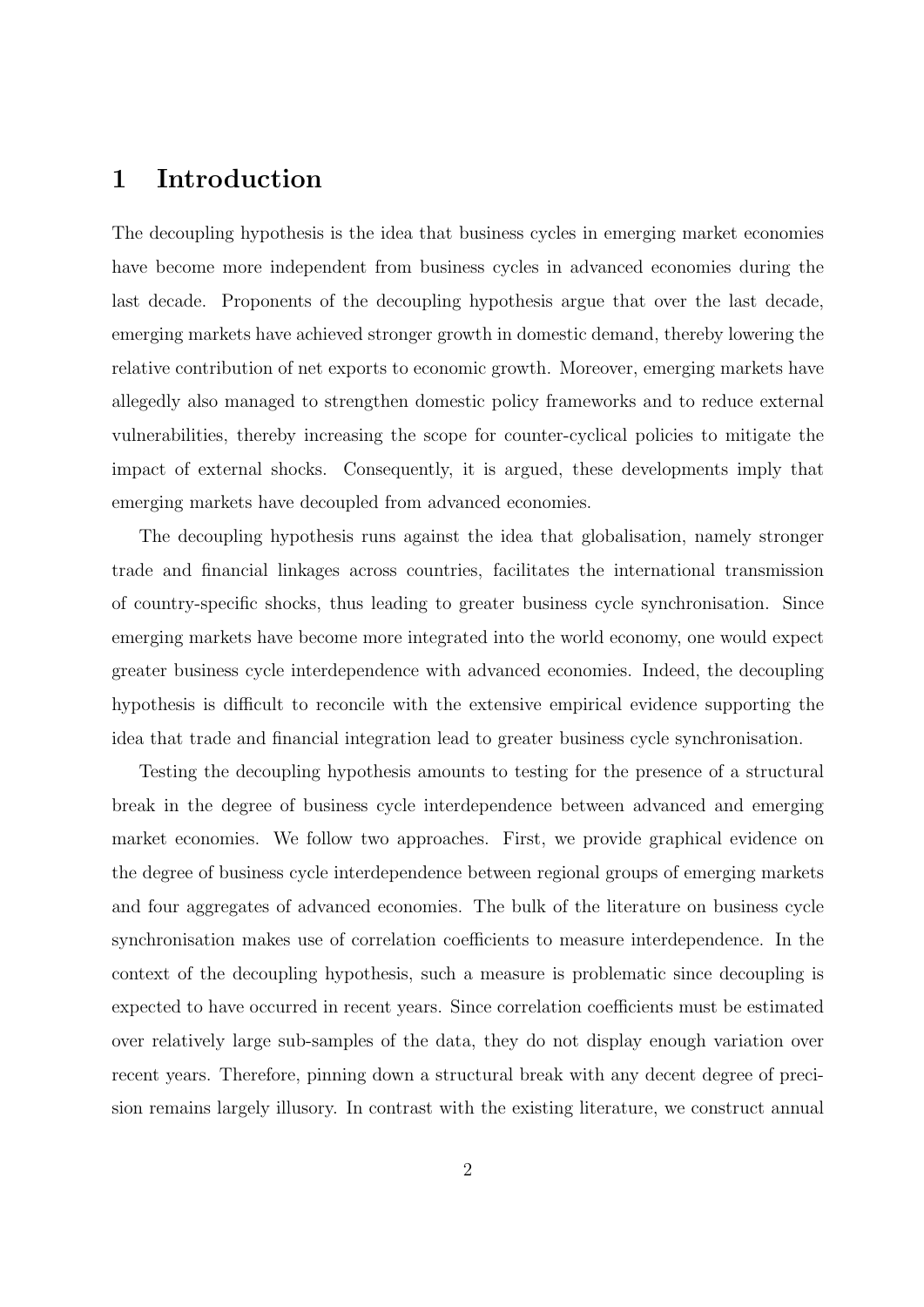### 1 Introduction

The decoupling hypothesis is the idea that business cycles in emerging market economies have become more independent from business cycles in advanced economies during the last decade. Proponents of the decoupling hypothesis argue that over the last decade, emerging markets have achieved stronger growth in domestic demand, thereby lowering the relative contribution of net exports to economic growth. Moreover, emerging markets have allegedly also managed to strengthen domestic policy frameworks and to reduce external vulnerabilities, thereby increasing the scope for counter-cyclical policies to mitigate the impact of external shocks. Consequently, it is argued, these developments imply that emerging markets have decoupled from advanced economies.

The decoupling hypothesis runs against the idea that globalisation, namely stronger trade and financial linkages across countries, facilitates the international transmission of country-specific shocks, thus leading to greater business cycle synchronisation. Since emerging markets have become more integrated into the world economy, one would expect greater business cycle interdependence with advanced economies. Indeed, the decoupling hypothesis is difficult to reconcile with the extensive empirical evidence supporting the idea that trade and financial integration lead to greater business cycle synchronisation.

Testing the decoupling hypothesis amounts to testing for the presence of a structural break in the degree of business cycle interdependence between advanced and emerging market economies. We follow two approaches. First, we provide graphical evidence on the degree of business cycle interdependence between regional groups of emerging markets and four aggregates of advanced economies. The bulk of the literature on business cycle synchronisation makes use of correlation coefficients to measure interdependence. In the context of the decoupling hypothesis, such a measure is problematic since decoupling is expected to have occurred in recent years. Since correlation coefficients must be estimated over relatively large sub-samples of the data, they do not display enough variation over recent years. Therefore, pinning down a structural break with any decent degree of precision remains largely illusory. In contrast with the existing literature, we construct annual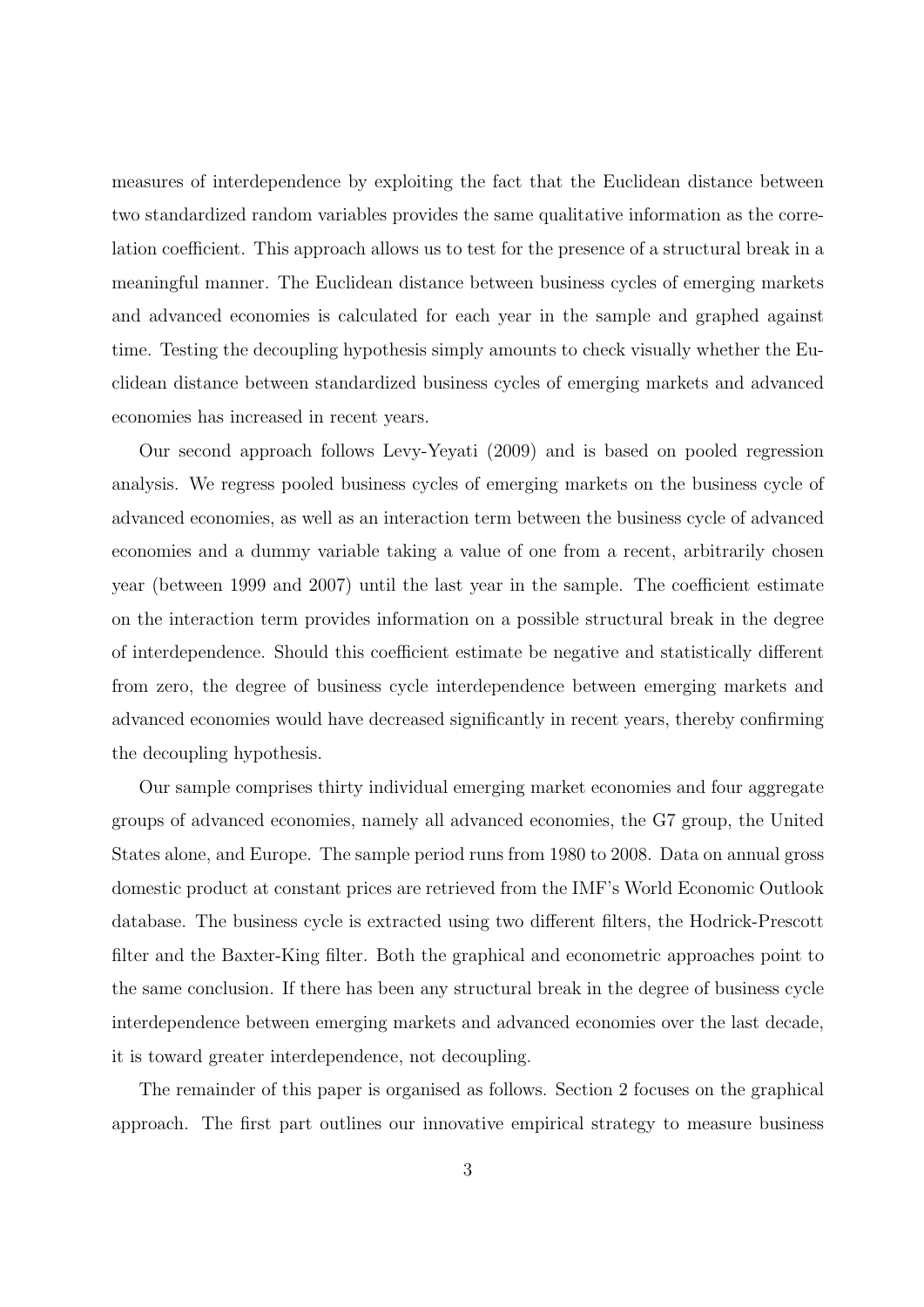measures of interdependence by exploiting the fact that the Euclidean distance between two standardized random variables provides the same qualitative information as the correlation coefficient. This approach allows us to test for the presence of a structural break in a meaningful manner. The Euclidean distance between business cycles of emerging markets and advanced economies is calculated for each year in the sample and graphed against time. Testing the decoupling hypothesis simply amounts to check visually whether the Euclidean distance between standardized business cycles of emerging markets and advanced economies has increased in recent years.

Our second approach follows Levy-Yeyati (2009) and is based on pooled regression analysis. We regress pooled business cycles of emerging markets on the business cycle of advanced economies, as well as an interaction term between the business cycle of advanced economies and a dummy variable taking a value of one from a recent, arbitrarily chosen year (between 1999 and 2007) until the last year in the sample. The coefficient estimate on the interaction term provides information on a possible structural break in the degree of interdependence. Should this coefficient estimate be negative and statistically different from zero, the degree of business cycle interdependence between emerging markets and advanced economies would have decreased significantly in recent years, thereby confirming the decoupling hypothesis.

Our sample comprises thirty individual emerging market economies and four aggregate groups of advanced economies, namely all advanced economies, the G7 group, the United States alone, and Europe. The sample period runs from 1980 to 2008. Data on annual gross domestic product at constant prices are retrieved from the IMF's World Economic Outlook database. The business cycle is extracted using two different filters, the Hodrick-Prescott filter and the Baxter-King filter. Both the graphical and econometric approaches point to the same conclusion. If there has been any structural break in the degree of business cycle interdependence between emerging markets and advanced economies over the last decade, it is toward greater interdependence, not decoupling.

The remainder of this paper is organised as follows. Section 2 focuses on the graphical approach. The first part outlines our innovative empirical strategy to measure business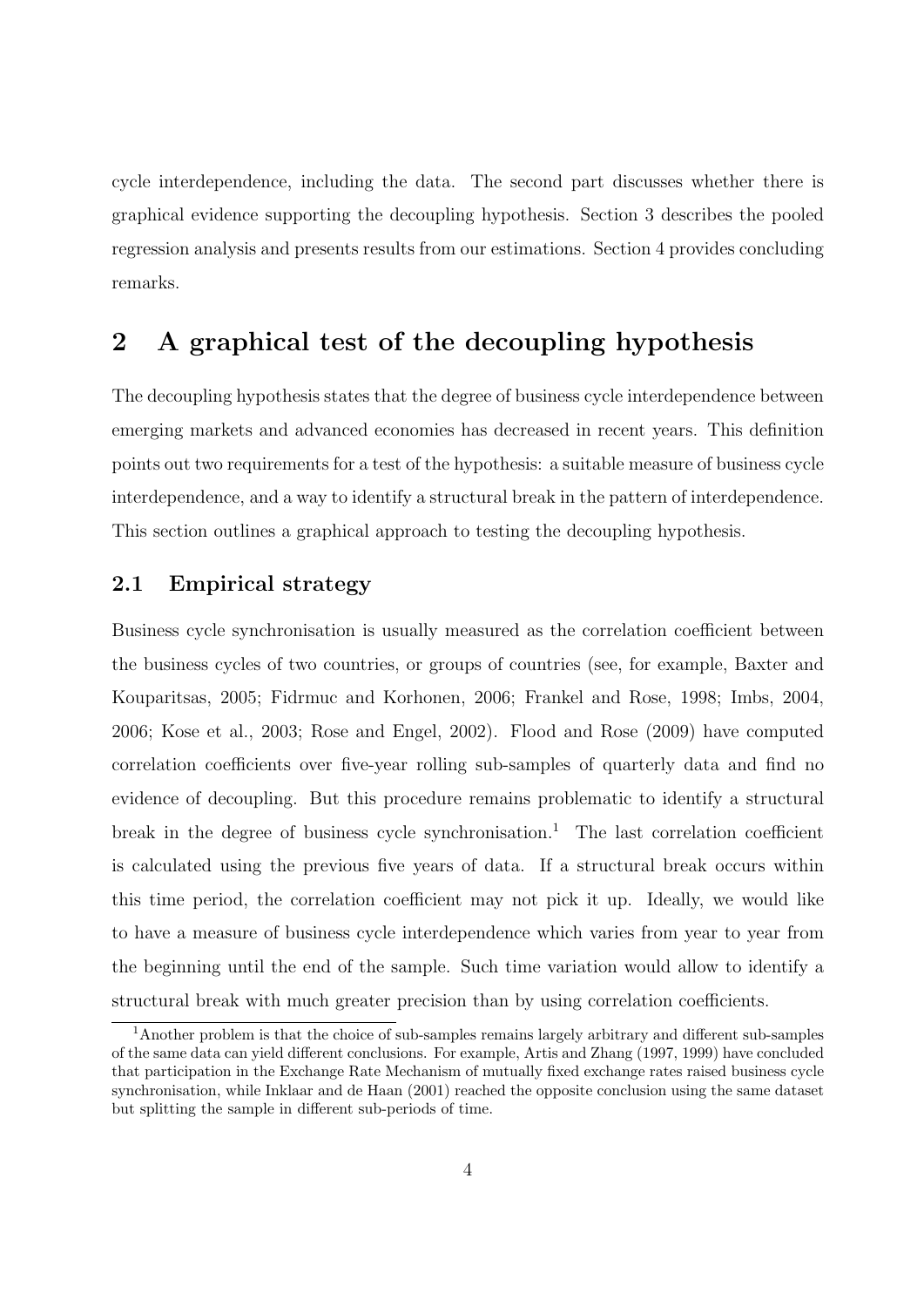cycle interdependence, including the data. The second part discusses whether there is graphical evidence supporting the decoupling hypothesis. Section 3 describes the pooled regression analysis and presents results from our estimations. Section 4 provides concluding remarks.

### 2 A graphical test of the decoupling hypothesis

The decoupling hypothesis states that the degree of business cycle interdependence between emerging markets and advanced economies has decreased in recent years. This definition points out two requirements for a test of the hypothesis: a suitable measure of business cycle interdependence, and a way to identify a structural break in the pattern of interdependence. This section outlines a graphical approach to testing the decoupling hypothesis.

### 2.1 Empirical strategy

Business cycle synchronisation is usually measured as the correlation coefficient between the business cycles of two countries, or groups of countries (see, for example, Baxter and Kouparitsas, 2005; Fidrmuc and Korhonen, 2006; Frankel and Rose, 1998; Imbs, 2004, 2006; Kose et al., 2003; Rose and Engel, 2002). Flood and Rose (2009) have computed correlation coefficients over five-year rolling sub-samples of quarterly data and find no evidence of decoupling. But this procedure remains problematic to identify a structural break in the degree of business cycle synchronisation.<sup>1</sup> The last correlation coefficient is calculated using the previous five years of data. If a structural break occurs within this time period, the correlation coefficient may not pick it up. Ideally, we would like to have a measure of business cycle interdependence which varies from year to year from the beginning until the end of the sample. Such time variation would allow to identify a structural break with much greater precision than by using correlation coefficients.

<sup>1</sup>Another problem is that the choice of sub-samples remains largely arbitrary and different sub-samples of the same data can yield different conclusions. For example, Artis and Zhang (1997, 1999) have concluded that participation in the Exchange Rate Mechanism of mutually fixed exchange rates raised business cycle synchronisation, while Inklaar and de Haan (2001) reached the opposite conclusion using the same dataset but splitting the sample in different sub-periods of time.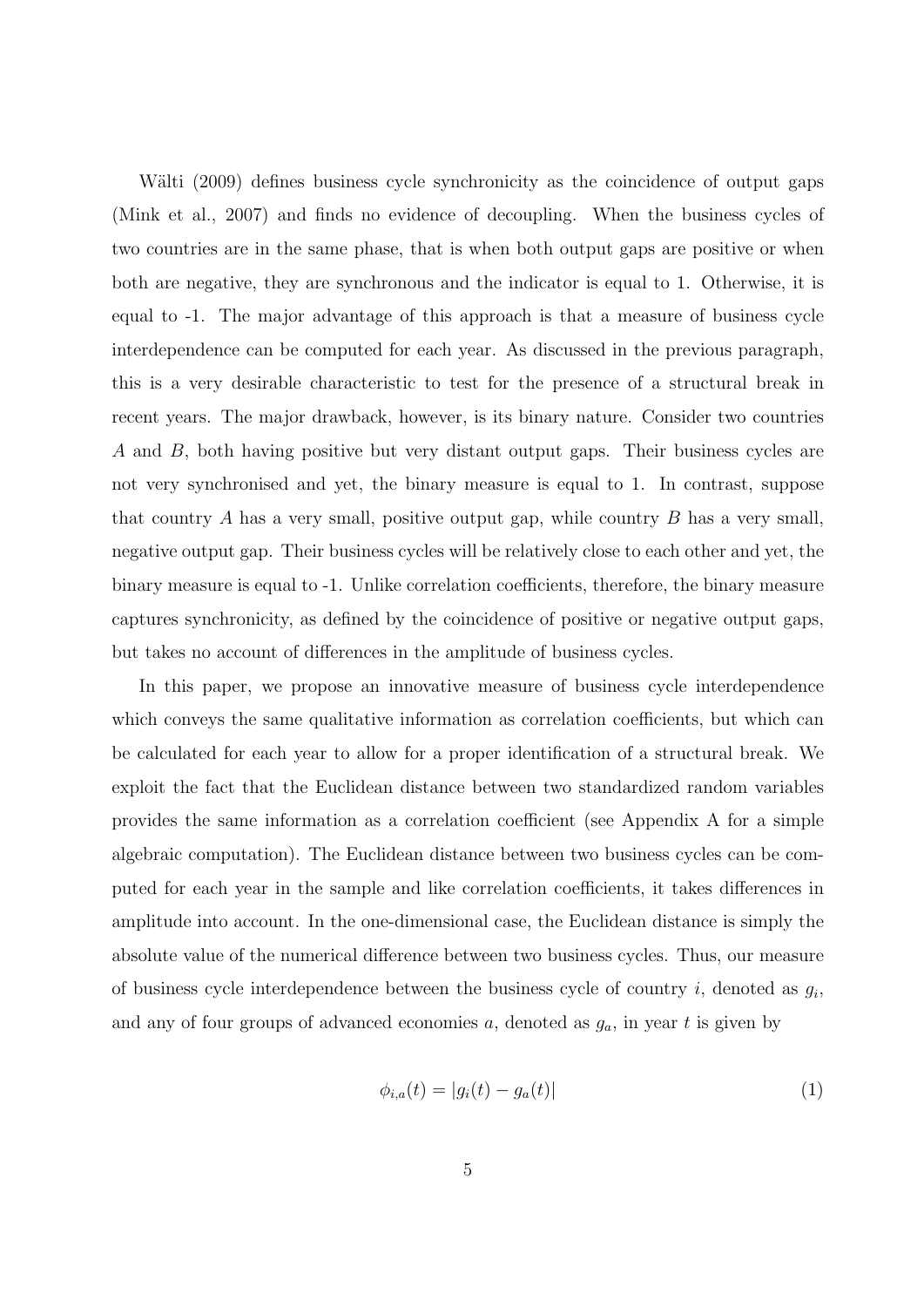Wälti (2009) defines business cycle synchronicity as the coincidence of output gaps (Mink et al., 2007) and finds no evidence of decoupling. When the business cycles of two countries are in the same phase, that is when both output gaps are positive or when both are negative, they are synchronous and the indicator is equal to 1. Otherwise, it is equal to -1. The major advantage of this approach is that a measure of business cycle interdependence can be computed for each year. As discussed in the previous paragraph, this is a very desirable characteristic to test for the presence of a structural break in recent years. The major drawback, however, is its binary nature. Consider two countries A and B, both having positive but very distant output gaps. Their business cycles are not very synchronised and yet, the binary measure is equal to 1. In contrast, suppose that country A has a very small, positive output gap, while country B has a very small, negative output gap. Their business cycles will be relatively close to each other and yet, the binary measure is equal to -1. Unlike correlation coefficients, therefore, the binary measure captures synchronicity, as defined by the coincidence of positive or negative output gaps, but takes no account of differences in the amplitude of business cycles.

In this paper, we propose an innovative measure of business cycle interdependence which conveys the same qualitative information as correlation coefficients, but which can be calculated for each year to allow for a proper identification of a structural break. We exploit the fact that the Euclidean distance between two standardized random variables provides the same information as a correlation coefficient (see Appendix A for a simple algebraic computation). The Euclidean distance between two business cycles can be computed for each year in the sample and like correlation coefficients, it takes differences in amplitude into account. In the one-dimensional case, the Euclidean distance is simply the absolute value of the numerical difference between two business cycles. Thus, our measure of business cycle interdependence between the business cycle of country  $i$ , denoted as  $g_i$ , and any of four groups of advanced economies  $a$ , denoted as  $g_a$ , in year  $t$  is given by

$$
\phi_{i,a}(t) = |g_i(t) - g_a(t)| \tag{1}
$$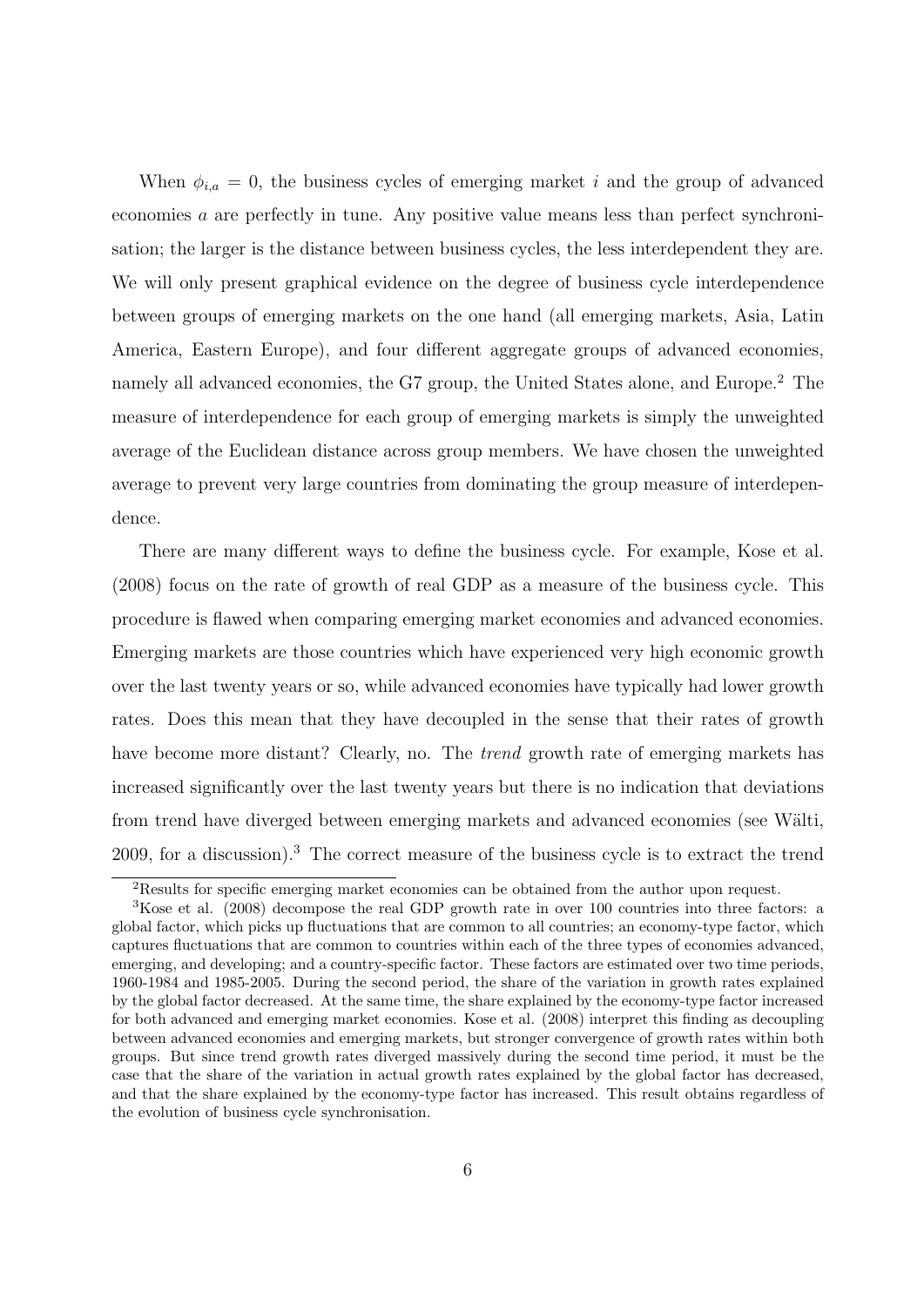When  $\phi_{i,a} = 0$ , the business cycles of emerging market i and the group of advanced economies a are perfectly in tune. Any positive value means less than perfect synchronisation; the larger is the distance between business cycles, the less interdependent they are. We will only present graphical evidence on the degree of business cycle interdependence between groups of emerging markets on the one hand (all emerging markets, Asia, Latin America, Eastern Europe), and four different aggregate groups of advanced economies, namely all advanced economies, the G7 group, the United States alone, and Europe.<sup>2</sup> The measure of interdependence for each group of emerging markets is simply the unweighted average of the Euclidean distance across group members. We have chosen the unweighted average to prevent very large countries from dominating the group measure of interdependence.

There are many different ways to define the business cycle. For example, Kose et al. (2008) focus on the rate of growth of real GDP as a measure of the business cycle. This procedure is flawed when comparing emerging market economies and advanced economies. Emerging markets are those countries which have experienced very high economic growth over the last twenty years or so, while advanced economies have typically had lower growth rates. Does this mean that they have decoupled in the sense that their rates of growth have become more distant? Clearly, no. The *trend* growth rate of emerging markets has increased significantly over the last twenty years but there is no indication that deviations from trend have diverged between emerging markets and advanced economies (see Wälti, 2009, for a discussion).<sup>3</sup> The correct measure of the business cycle is to extract the trend

<sup>2</sup>Results for specific emerging market economies can be obtained from the author upon request.

<sup>&</sup>lt;sup>3</sup>Kose et al. (2008) decompose the real GDP growth rate in over 100 countries into three factors: a global factor, which picks up fluctuations that are common to all countries; an economy-type factor, which captures fluctuations that are common to countries within each of the three types of economies advanced, emerging, and developing; and a country-specific factor. These factors are estimated over two time periods, 1960-1984 and 1985-2005. During the second period, the share of the variation in growth rates explained by the global factor decreased. At the same time, the share explained by the economy-type factor increased for both advanced and emerging market economies. Kose et al. (2008) interpret this finding as decoupling between advanced economies and emerging markets, but stronger convergence of growth rates within both groups. But since trend growth rates diverged massively during the second time period, it must be the case that the share of the variation in actual growth rates explained by the global factor has decreased, and that the share explained by the economy-type factor has increased. This result obtains regardless of the evolution of business cycle synchronisation.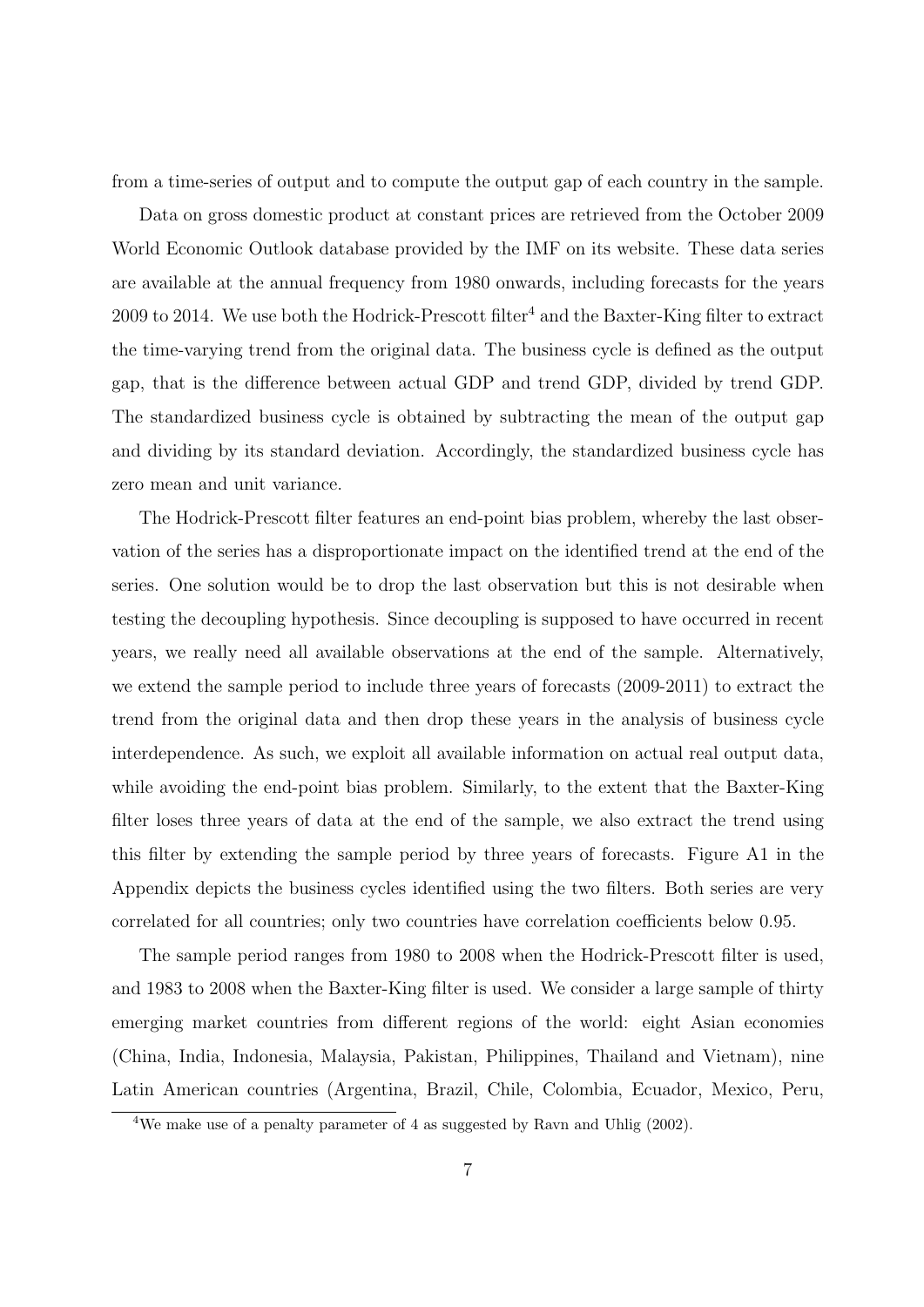from a time-series of output and to compute the output gap of each country in the sample.

Data on gross domestic product at constant prices are retrieved from the October 2009 World Economic Outlook database provided by the IMF on its website. These data series are available at the annual frequency from 1980 onwards, including forecasts for the years 2009 to 2014. We use both the Hodrick-Prescott filter<sup>4</sup> and the Baxter-King filter to extract the time-varying trend from the original data. The business cycle is defined as the output gap, that is the difference between actual GDP and trend GDP, divided by trend GDP. The standardized business cycle is obtained by subtracting the mean of the output gap and dividing by its standard deviation. Accordingly, the standardized business cycle has zero mean and unit variance.

The Hodrick-Prescott filter features an end-point bias problem, whereby the last observation of the series has a disproportionate impact on the identified trend at the end of the series. One solution would be to drop the last observation but this is not desirable when testing the decoupling hypothesis. Since decoupling is supposed to have occurred in recent years, we really need all available observations at the end of the sample. Alternatively, we extend the sample period to include three years of forecasts (2009-2011) to extract the trend from the original data and then drop these years in the analysis of business cycle interdependence. As such, we exploit all available information on actual real output data, while avoiding the end-point bias problem. Similarly, to the extent that the Baxter-King filter loses three years of data at the end of the sample, we also extract the trend using this filter by extending the sample period by three years of forecasts. Figure A1 in the Appendix depicts the business cycles identified using the two filters. Both series are very correlated for all countries; only two countries have correlation coefficients below 0.95.

The sample period ranges from 1980 to 2008 when the Hodrick-Prescott filter is used, and 1983 to 2008 when the Baxter-King filter is used. We consider a large sample of thirty emerging market countries from different regions of the world: eight Asian economies (China, India, Indonesia, Malaysia, Pakistan, Philippines, Thailand and Vietnam), nine Latin American countries (Argentina, Brazil, Chile, Colombia, Ecuador, Mexico, Peru,

<sup>&</sup>lt;sup>4</sup>We make use of a penalty parameter of 4 as suggested by Ravn and Uhlig (2002).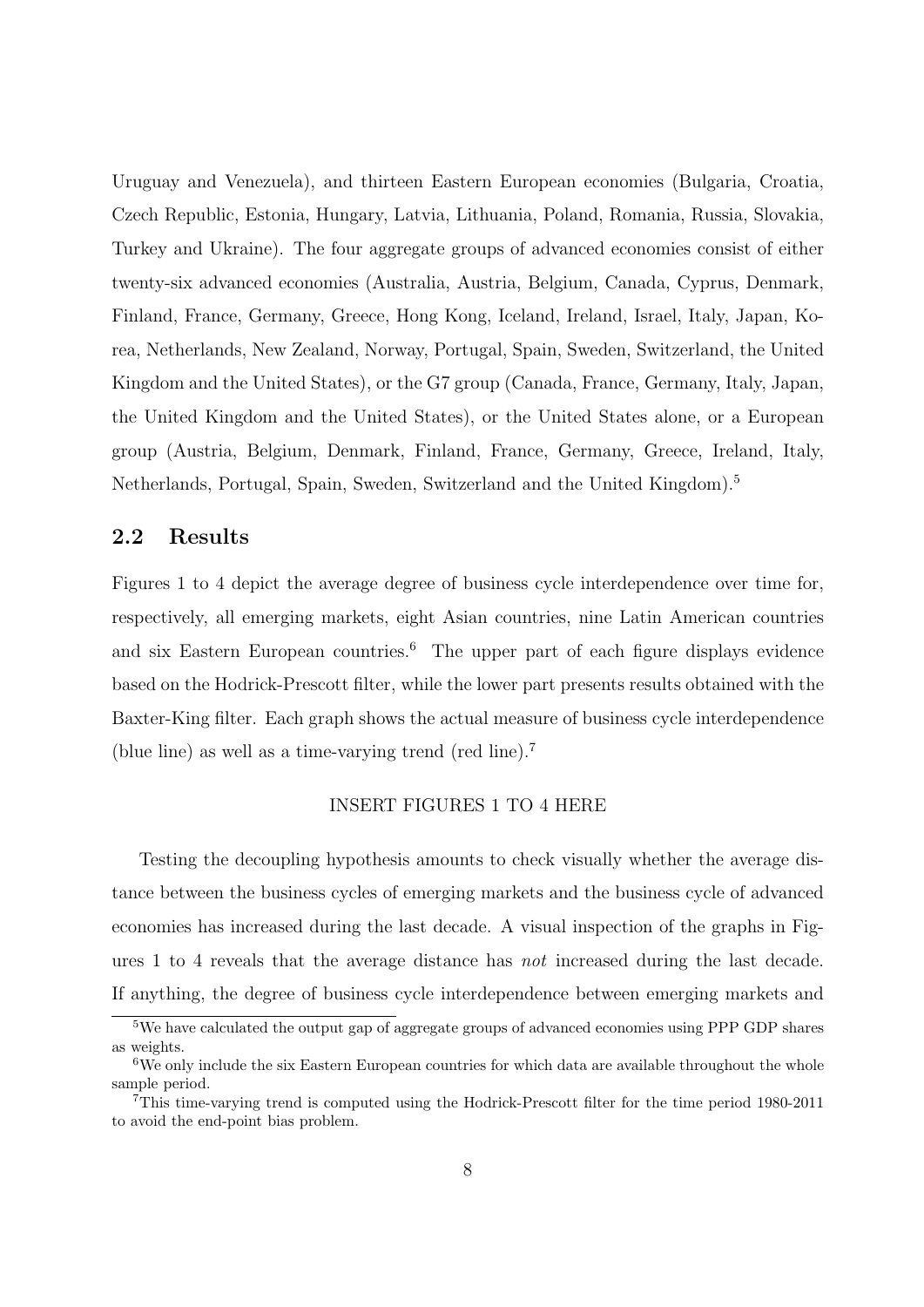Uruguay and Venezuela), and thirteen Eastern European economies (Bulgaria, Croatia, Czech Republic, Estonia, Hungary, Latvia, Lithuania, Poland, Romania, Russia, Slovakia, Turkey and Ukraine). The four aggregate groups of advanced economies consist of either twenty-six advanced economies (Australia, Austria, Belgium, Canada, Cyprus, Denmark, Finland, France, Germany, Greece, Hong Kong, Iceland, Ireland, Israel, Italy, Japan, Korea, Netherlands, New Zealand, Norway, Portugal, Spain, Sweden, Switzerland, the United Kingdom and the United States), or the G7 group (Canada, France, Germany, Italy, Japan, the United Kingdom and the United States), or the United States alone, or a European group (Austria, Belgium, Denmark, Finland, France, Germany, Greece, Ireland, Italy, Netherlands, Portugal, Spain, Sweden, Switzerland and the United Kingdom).<sup>5</sup>

#### 2.2 Results

Figures 1 to 4 depict the average degree of business cycle interdependence over time for, respectively, all emerging markets, eight Asian countries, nine Latin American countries and six Eastern European countries.<sup>6</sup> The upper part of each figure displays evidence based on the Hodrick-Prescott filter, while the lower part presents results obtained with the Baxter-King filter. Each graph shows the actual measure of business cycle interdependence (blue line) as well as a time-varying trend (red line).<sup>7</sup>

#### INSERT FIGURES 1 TO 4 HERE

Testing the decoupling hypothesis amounts to check visually whether the average distance between the business cycles of emerging markets and the business cycle of advanced economies has increased during the last decade. A visual inspection of the graphs in Figures 1 to 4 reveals that the average distance has not increased during the last decade. If anything, the degree of business cycle interdependence between emerging markets and

 $5$ We have calculated the output gap of aggregate groups of advanced economies using PPP GDP shares as weights.

<sup>&</sup>lt;sup>6</sup>We only include the six Eastern European countries for which data are available throughout the whole sample period.

<sup>7</sup>This time-varying trend is computed using the Hodrick-Prescott filter for the time period 1980-2011 to avoid the end-point bias problem.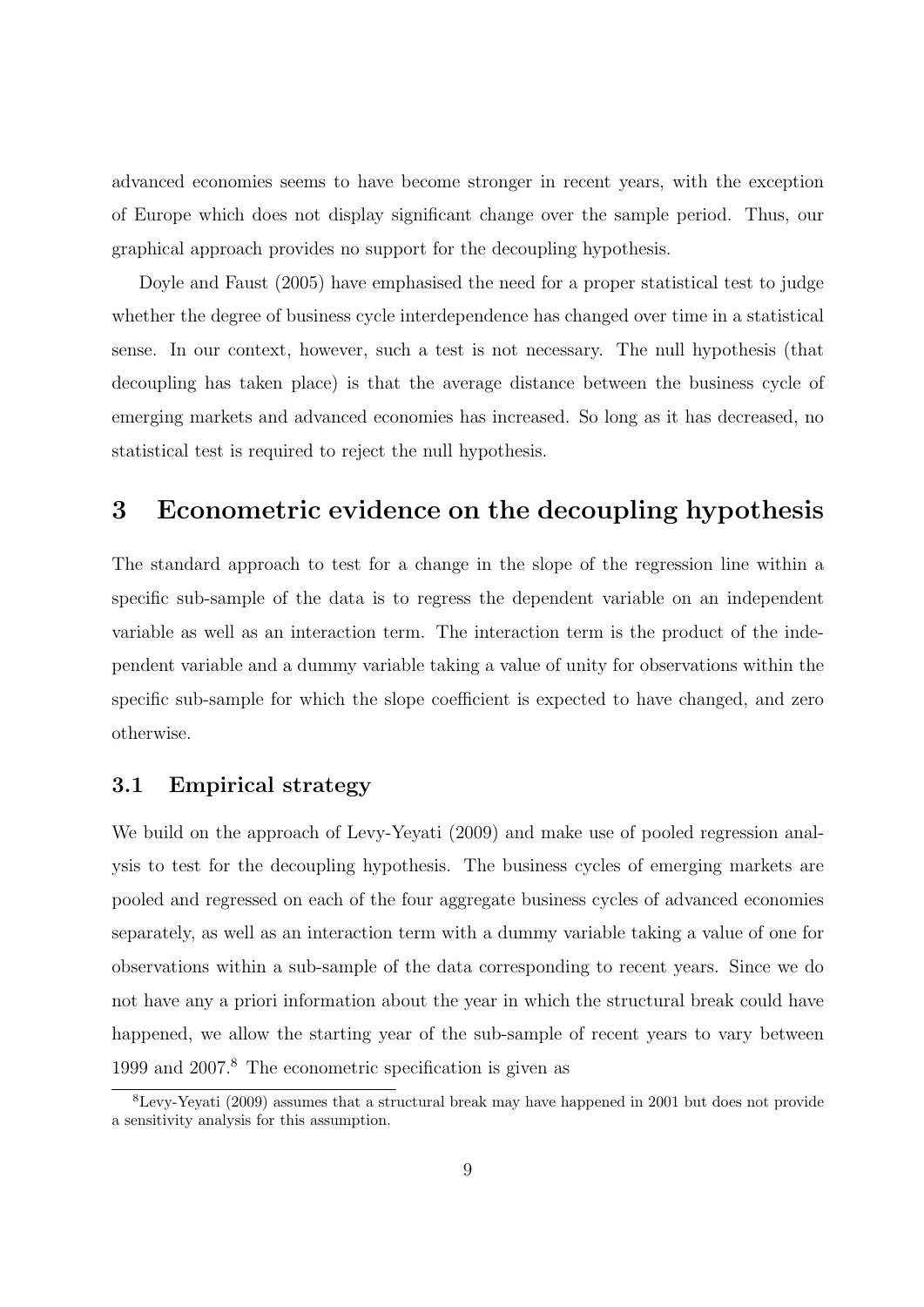advanced economies seems to have become stronger in recent years, with the exception of Europe which does not display significant change over the sample period. Thus, our graphical approach provides no support for the decoupling hypothesis.

Doyle and Faust (2005) have emphasised the need for a proper statistical test to judge whether the degree of business cycle interdependence has changed over time in a statistical sense. In our context, however, such a test is not necessary. The null hypothesis (that decoupling has taken place) is that the average distance between the business cycle of emerging markets and advanced economies has increased. So long as it has decreased, no statistical test is required to reject the null hypothesis.

### 3 Econometric evidence on the decoupling hypothesis

The standard approach to test for a change in the slope of the regression line within a specific sub-sample of the data is to regress the dependent variable on an independent variable as well as an interaction term. The interaction term is the product of the independent variable and a dummy variable taking a value of unity for observations within the specific sub-sample for which the slope coefficient is expected to have changed, and zero otherwise.

#### 3.1 Empirical strategy

We build on the approach of Levy-Yeyati (2009) and make use of pooled regression analysis to test for the decoupling hypothesis. The business cycles of emerging markets are pooled and regressed on each of the four aggregate business cycles of advanced economies separately, as well as an interaction term with a dummy variable taking a value of one for observations within a sub-sample of the data corresponding to recent years. Since we do not have any a priori information about the year in which the structural break could have happened, we allow the starting year of the sub-sample of recent years to vary between 1999 and 2007.<sup>8</sup> The econometric specification is given as

<sup>8</sup>Levy-Yeyati (2009) assumes that a structural break may have happened in 2001 but does not provide a sensitivity analysis for this assumption.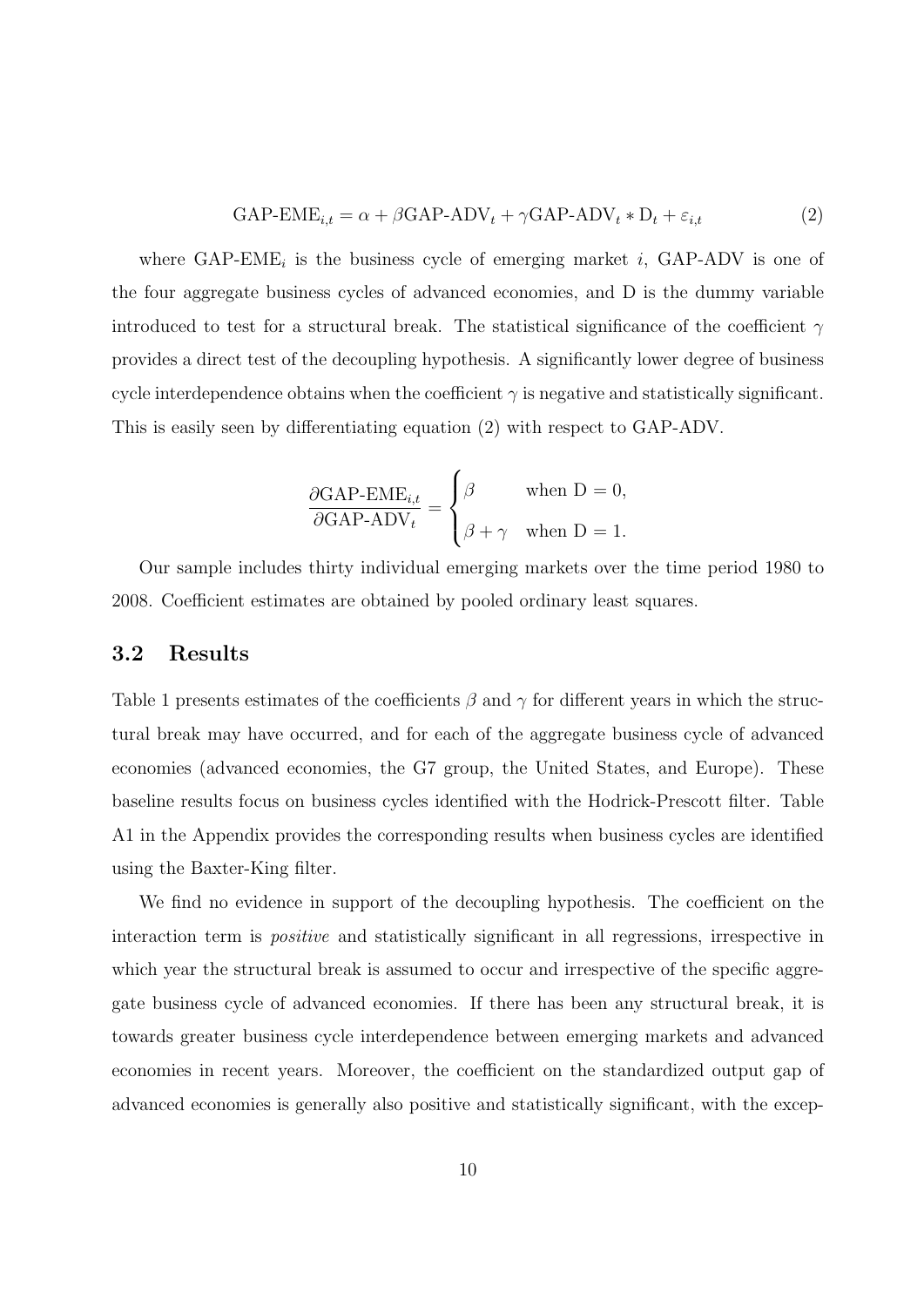$$
GAP-EME_{i,t} = \alpha + \beta GAP-ADV_t + \gamma GAP-ADV_t * D_t + \varepsilon_{i,t}
$$
\n(2)

where  $\text{GAP-EME}_i$  is the business cycle of emerging market i,  $\text{GAP-ADV}$  is one of the four aggregate business cycles of advanced economies, and D is the dummy variable introduced to test for a structural break. The statistical significance of the coefficient  $\gamma$ provides a direct test of the decoupling hypothesis. A significantly lower degree of business cycle interdependence obtains when the coefficient  $\gamma$  is negative and statistically significant. This is easily seen by differentiating equation (2) with respect to GAP-ADV.

$$
\frac{\partial \text{GAP-EME}_{i,t}}{\partial \text{GAP-ADV}_t} = \begin{cases} \beta & \text{when D = 0,} \\ \beta + \gamma & \text{when D = 1.} \end{cases}
$$

Our sample includes thirty individual emerging markets over the time period 1980 to 2008. Coefficient estimates are obtained by pooled ordinary least squares.

#### 3.2 Results

Table 1 presents estimates of the coefficients  $\beta$  and  $\gamma$  for different years in which the structural break may have occurred, and for each of the aggregate business cycle of advanced economies (advanced economies, the G7 group, the United States, and Europe). These baseline results focus on business cycles identified with the Hodrick-Prescott filter. Table A1 in the Appendix provides the corresponding results when business cycles are identified using the Baxter-King filter.

We find no evidence in support of the decoupling hypothesis. The coefficient on the interaction term is *positive* and statistically significant in all regressions, irrespective in which year the structural break is assumed to occur and irrespective of the specific aggregate business cycle of advanced economies. If there has been any structural break, it is towards greater business cycle interdependence between emerging markets and advanced economies in recent years. Moreover, the coefficient on the standardized output gap of advanced economies is generally also positive and statistically significant, with the excep-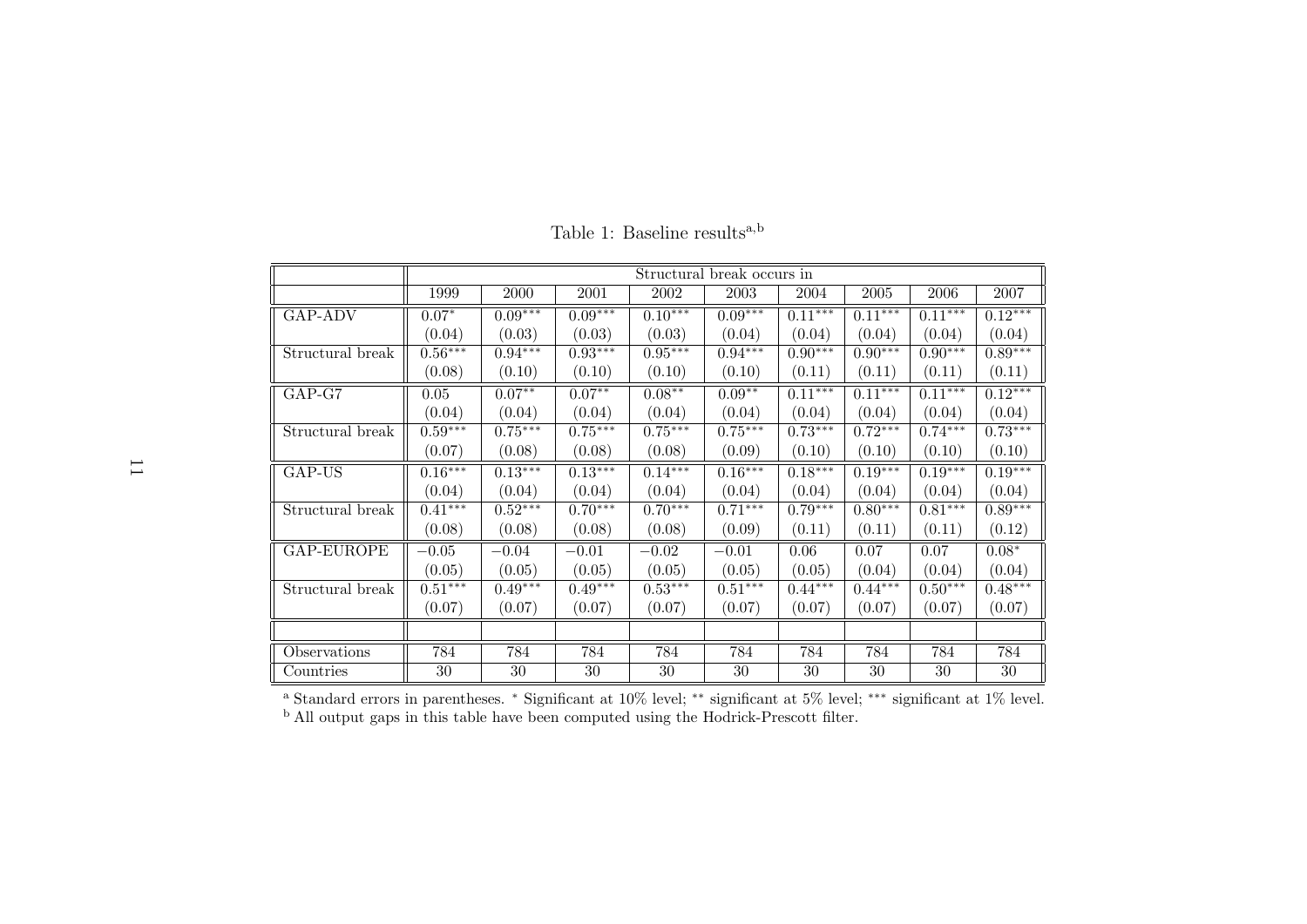|                  |           |           |           |           | Structural break occurs in |           |            |           |           |
|------------------|-----------|-----------|-----------|-----------|----------------------------|-----------|------------|-----------|-----------|
|                  | 1999      | 2000      | 2001      | 2002      | 2003                       | 2004      | $\,2005\,$ | 2006      | 2007      |
| GAP-ADV          | $0.07*$   | $0.09***$ | $0.09***$ | $0.10***$ | $0.09***$                  | $0.11***$ | $0.11***$  | $0.11***$ | $0.12***$ |
|                  | (0.04)    | (0.03)    | (0.03)    | (0.03)    | (0.04)                     | (0.04)    | (0.04)     | (0.04)    | (0.04)    |
| Structural break | $0.56***$ | $0.94***$ | $0.93***$ | $0.95***$ | $0.94***$                  | $0.90***$ | $0.90***$  | $0.90***$ | $0.89***$ |
|                  | (0.08)    | (0.10)    | (0.10)    | (0.10)    | (0.10)                     | (0.11)    | (0.11)     | (0.11)    | (0.11)    |
| $GAP-G7$         | 0.05      | $0.07**$  | $0.07***$ | $0.08**$  | $0.09**$                   | $0.11***$ | $0.11***$  | $0.11***$ | $0.12***$ |
|                  | (0.04)    | (0.04)    | (0.04)    | (0.04)    | (0.04)                     | (0.04)    | (0.04)     | (0.04)    | (0.04)    |
| Structural break | $0.59***$ | $0.75***$ | $0.75***$ | $0.75***$ | $0.75***$                  | $0.73***$ | $0.72***$  | $0.74***$ | $0.73***$ |
|                  | (0.07)    | (0.08)    | (0.08)    | (0.08)    | (0.09)                     | (0.10)    | (0.10)     | (0.10)    | (0.10)    |
| GAP-US           | $0.16***$ | $0.13***$ | $0.13***$ | $0.14***$ | $0.16***$                  | $0.18***$ | $0.19***$  | $0.19***$ | $0.19***$ |
|                  | (0.04)    | (0.04)    | (0.04)    | (0.04)    | (0.04)                     | (0.04)    | (0.04)     | (0.04)    | (0.04)    |
| Structural break | $0.41***$ | $0.52***$ | $0.70***$ | $0.70***$ | $0.71***$                  | $0.79***$ | $0.80***$  | $0.81***$ | $0.89***$ |
|                  | (0.08)    | (0.08)    | (0.08)    | (0.08)    | (0.09)                     | (0.11)    | (0.11)     | (0.11)    | (0.12)    |
| GAP-EUROPE       | $-0.05$   | $-0.04$   | $-0.01$   | $-0.02$   | $-0.01$                    | 0.06      | 0.07       | 0.07      | $0.08*$   |
|                  | (0.05)    | (0.05)    | (0.05)    | (0.05)    | (0.05)                     | (0.05)    | (0.04)     | (0.04)    | (0.04)    |
| Structural break | $0.51***$ | $0.49***$ | $0.49***$ | $0.53***$ | $0.51***$                  | $0.44***$ | $0.44***$  | $0.50***$ | $0.48***$ |
|                  | (0.07)    | (0.07)    | (0.07)    | (0.07)    | (0.07)                     | (0.07)    | (0.07)     | (0.07)    | (0.07)    |
|                  |           |           |           |           |                            |           |            |           |           |
| Observations     | 784       | 784       | 784       | 784       | 784                        | 784       | 784        | 784       | 784       |
| Countries        | 30        | 30        | 30        | 30        | 30                         | 30        | 30         | 30        | 30        |

Table 1: Baseline results<sup>a,b</sup>

a Standard errors in parentheses. <sup>∗</sup> Significant at 10% level; ∗∗ significant at 5% level; ∗∗∗ significant at 1% level. b All output gaps in this table have been computed using the Hodrick-Prescott filter.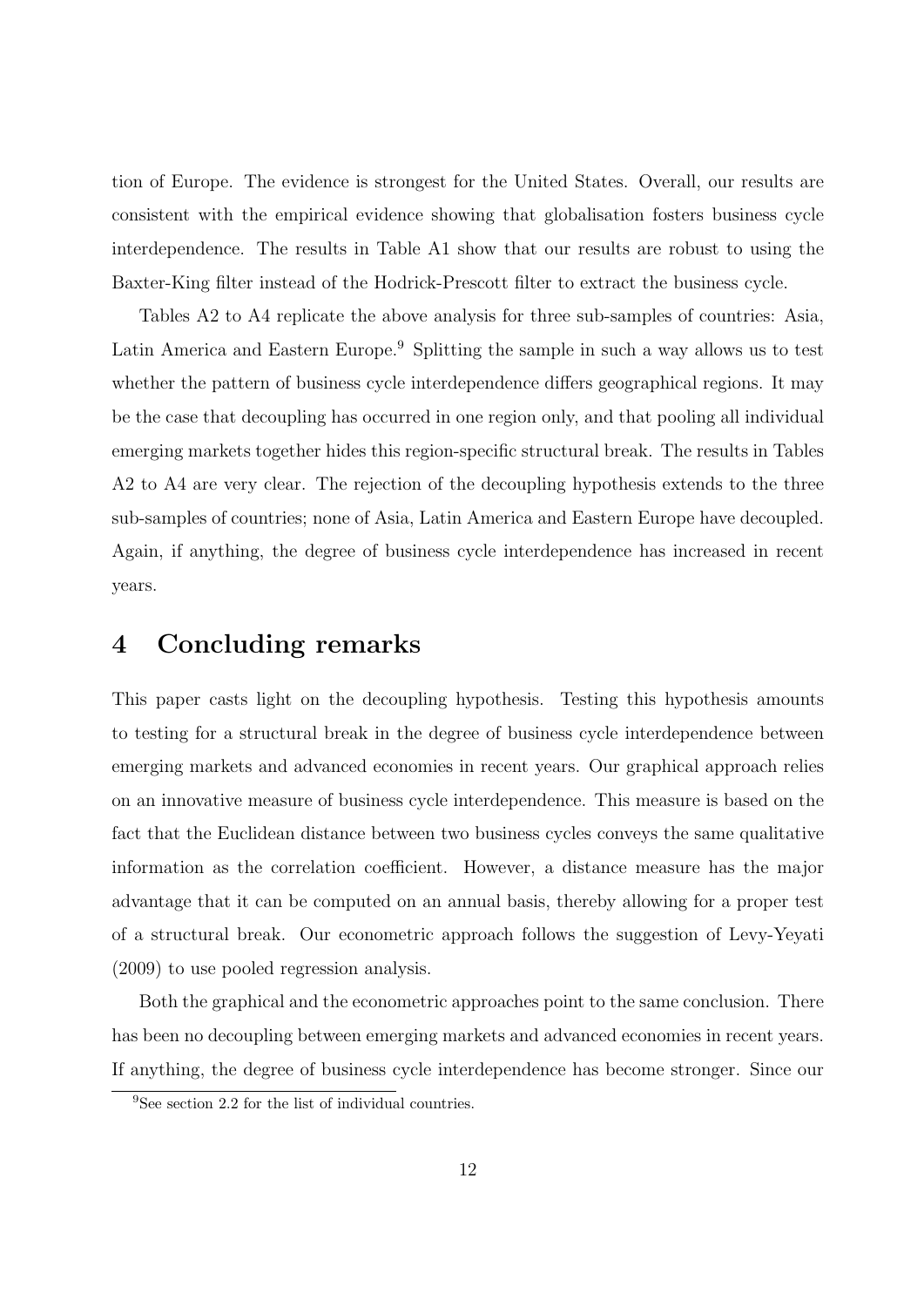tion of Europe. The evidence is strongest for the United States. Overall, our results are consistent with the empirical evidence showing that globalisation fosters business cycle interdependence. The results in Table A1 show that our results are robust to using the Baxter-King filter instead of the Hodrick-Prescott filter to extract the business cycle.

Tables A2 to A4 replicate the above analysis for three sub-samples of countries: Asia, Latin America and Eastern Europe.<sup>9</sup> Splitting the sample in such a way allows us to test whether the pattern of business cycle interdependence differs geographical regions. It may be the case that decoupling has occurred in one region only, and that pooling all individual emerging markets together hides this region-specific structural break. The results in Tables A2 to A4 are very clear. The rejection of the decoupling hypothesis extends to the three sub-samples of countries; none of Asia, Latin America and Eastern Europe have decoupled. Again, if anything, the degree of business cycle interdependence has increased in recent years.

### 4 Concluding remarks

This paper casts light on the decoupling hypothesis. Testing this hypothesis amounts to testing for a structural break in the degree of business cycle interdependence between emerging markets and advanced economies in recent years. Our graphical approach relies on an innovative measure of business cycle interdependence. This measure is based on the fact that the Euclidean distance between two business cycles conveys the same qualitative information as the correlation coefficient. However, a distance measure has the major advantage that it can be computed on an annual basis, thereby allowing for a proper test of a structural break. Our econometric approach follows the suggestion of Levy-Yeyati (2009) to use pooled regression analysis.

Both the graphical and the econometric approaches point to the same conclusion. There has been no decoupling between emerging markets and advanced economies in recent years. If anything, the degree of business cycle interdependence has become stronger. Since our

<sup>&</sup>lt;sup>9</sup>See section 2.2 for the list of individual countries.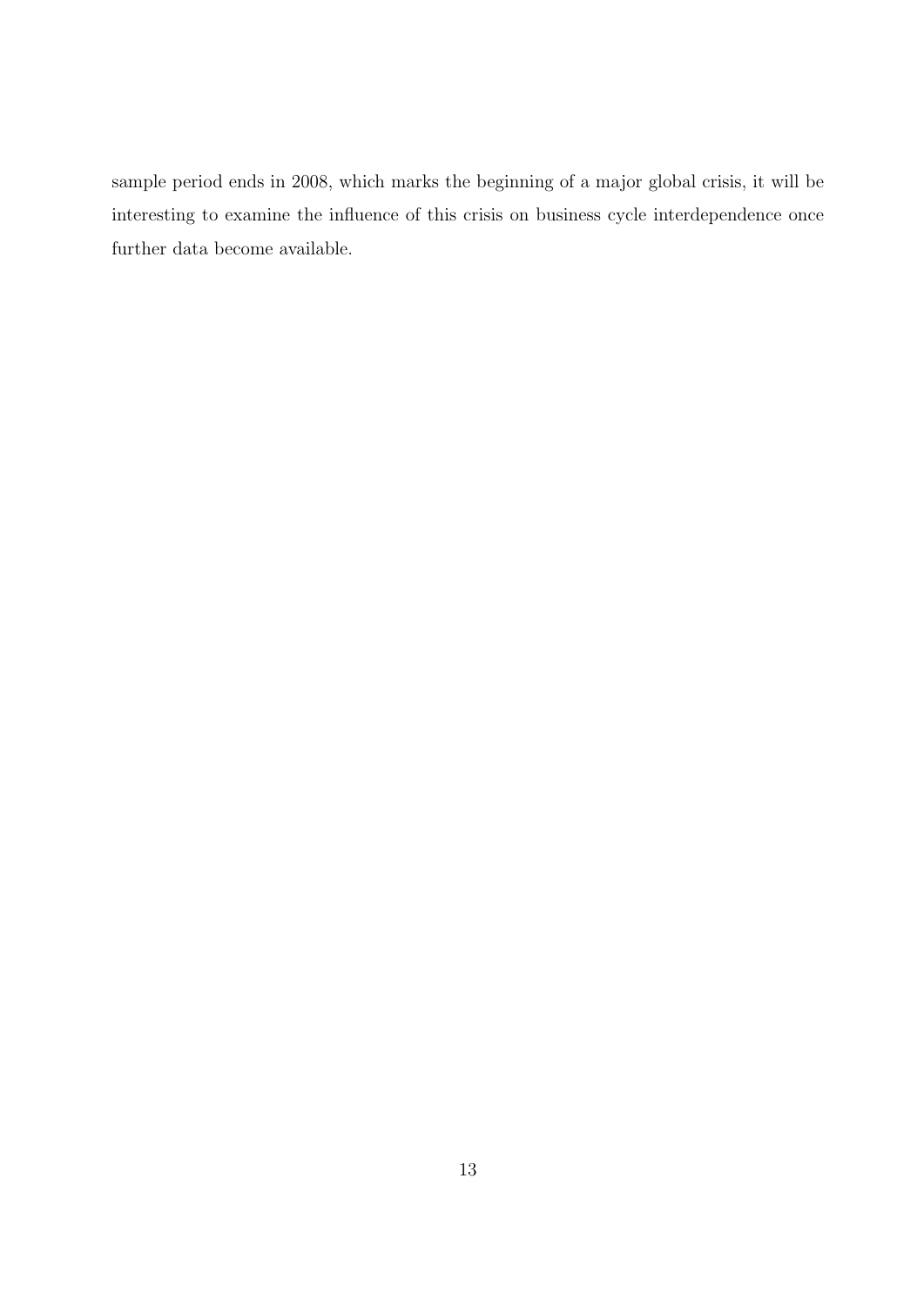sample period ends in 2008, which marks the beginning of a major global crisis, it will be interesting to examine the influence of this crisis on business cycle interdependence once further data become available.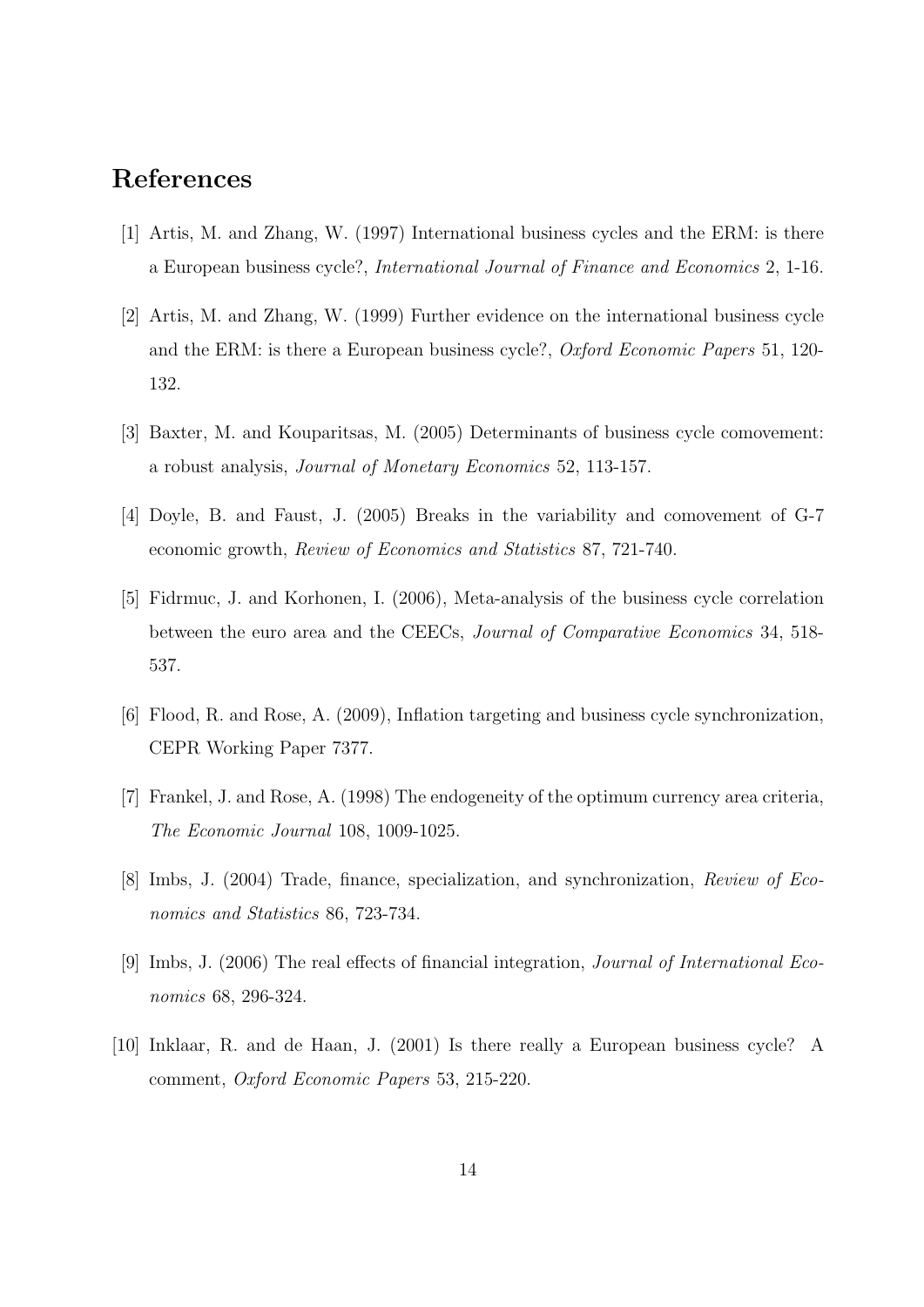### References

- [1] Artis, M. and Zhang, W. (1997) International business cycles and the ERM: is there a European business cycle?, International Journal of Finance and Economics 2, 1-16.
- [2] Artis, M. and Zhang, W. (1999) Further evidence on the international business cycle and the ERM: is there a European business cycle?, Oxford Economic Papers 51, 120- 132.
- [3] Baxter, M. and Kouparitsas, M. (2005) Determinants of business cycle comovement: a robust analysis, Journal of Monetary Economics 52, 113-157.
- [4] Doyle, B. and Faust, J. (2005) Breaks in the variability and comovement of G-7 economic growth, Review of Economics and Statistics 87, 721-740.
- [5] Fidrmuc, J. and Korhonen, I. (2006), Meta-analysis of the business cycle correlation between the euro area and the CEECs, Journal of Comparative Economics 34, 518- 537.
- [6] Flood, R. and Rose, A. (2009), Inflation targeting and business cycle synchronization, CEPR Working Paper 7377.
- [7] Frankel, J. and Rose, A. (1998) The endogeneity of the optimum currency area criteria, The Economic Journal 108, 1009-1025.
- [8] Imbs, J. (2004) Trade, finance, specialization, and synchronization, Review of Economics and Statistics 86, 723-734.
- [9] Imbs, J. (2006) The real effects of financial integration, Journal of International Economics 68, 296-324.
- [10] Inklaar, R. and de Haan, J. (2001) Is there really a European business cycle? A comment, Oxford Economic Papers 53, 215-220.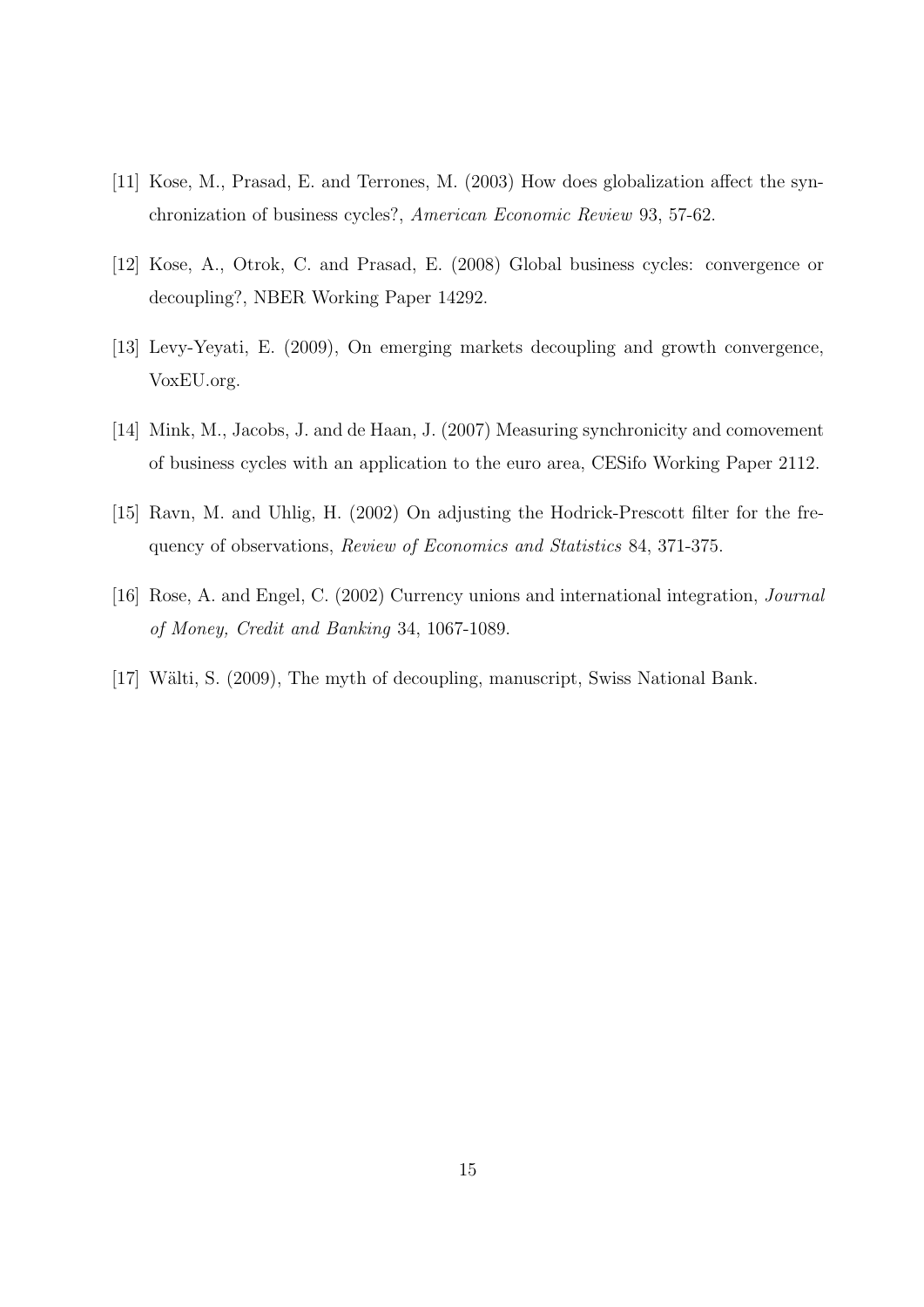- [11] Kose, M., Prasad, E. and Terrones, M. (2003) How does globalization affect the synchronization of business cycles?, American Economic Review 93, 57-62.
- [12] Kose, A., Otrok, C. and Prasad, E. (2008) Global business cycles: convergence or decoupling?, NBER Working Paper 14292.
- [13] Levy-Yeyati, E. (2009), On emerging markets decoupling and growth convergence, VoxEU.org.
- [14] Mink, M., Jacobs, J. and de Haan, J. (2007) Measuring synchronicity and comovement of business cycles with an application to the euro area, CESifo Working Paper 2112.
- [15] Ravn, M. and Uhlig, H. (2002) On adjusting the Hodrick-Prescott filter for the frequency of observations, Review of Economics and Statistics 84, 371-375.
- [16] Rose, A. and Engel, C. (2002) Currency unions and international integration, Journal of Money, Credit and Banking 34, 1067-1089.
- [17] Wälti, S. (2009), The myth of decoupling, manuscript, Swiss National Bank.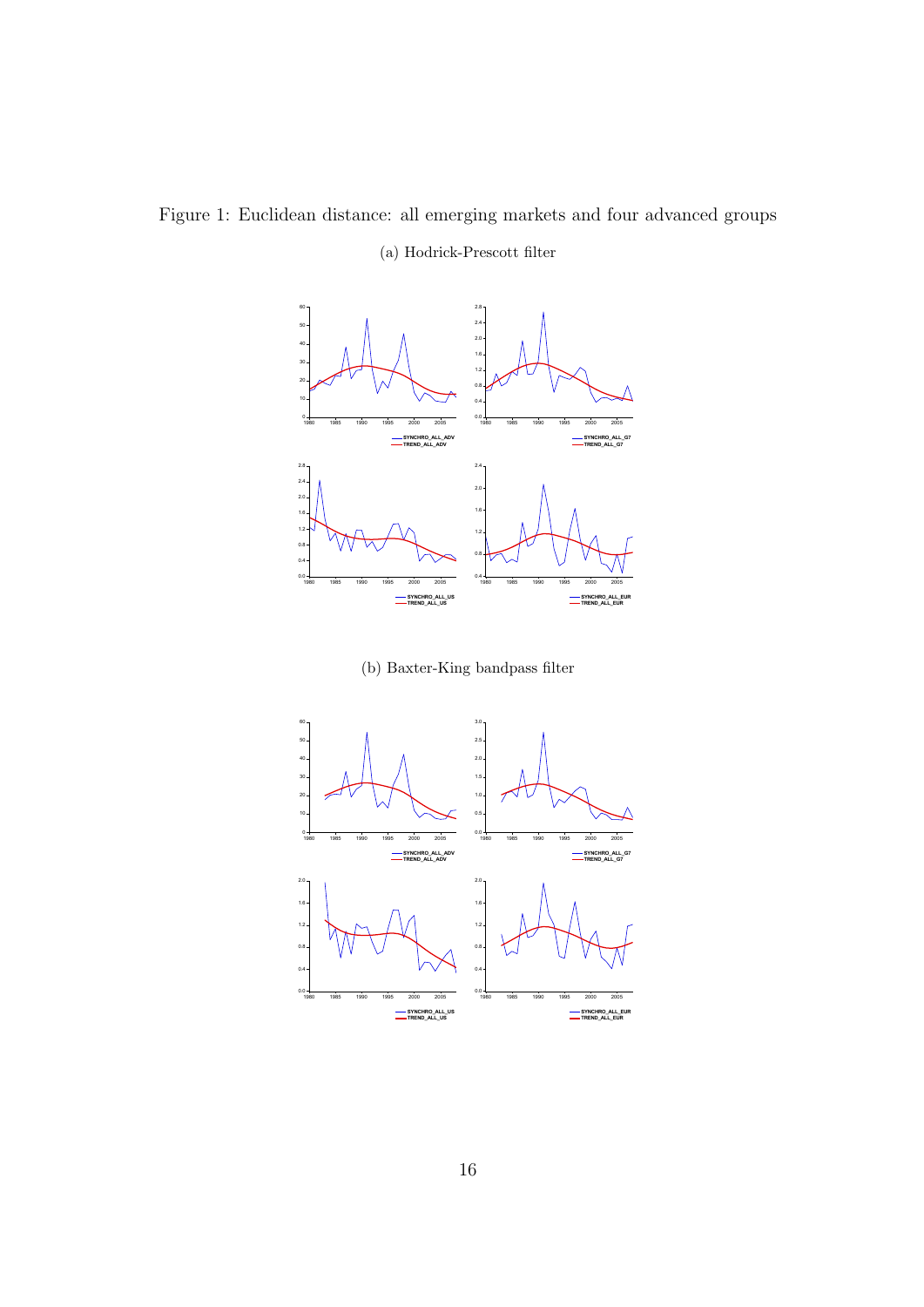Figure 1: Euclidean distance: all emerging markets and four advanced groups (a) Hodrick-Prescott filter



(b) Baxter-King bandpass filter

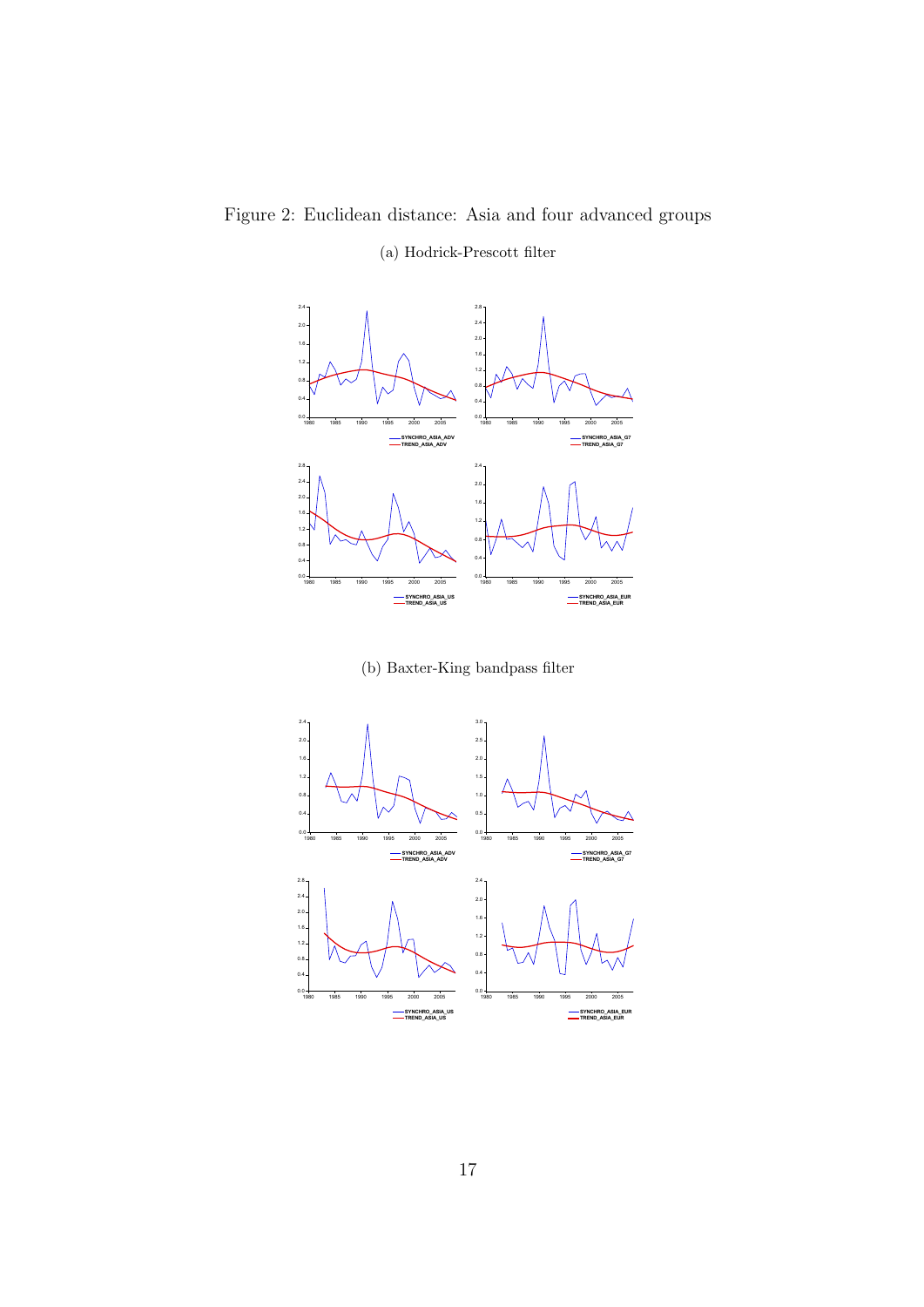## Figure 2: Euclidean distance: Asia and four advanced groups

### (a) Hodrick-Prescott filter



(b) Baxter-King bandpass filter

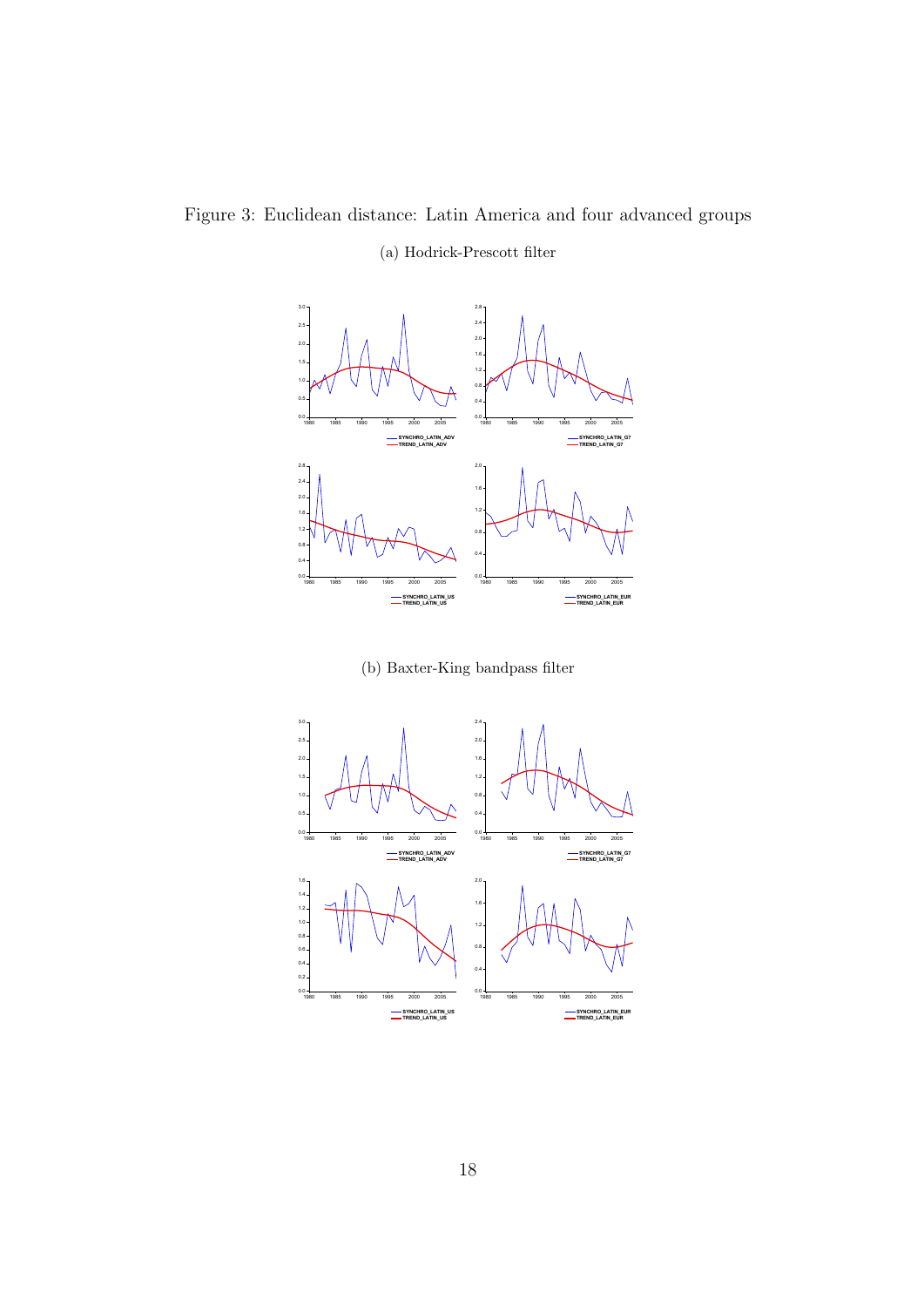Figure 3: Euclidean distance: Latin America and four advanced groups (a) Hodrick-Prescott filter



(b) Baxter-King bandpass filter

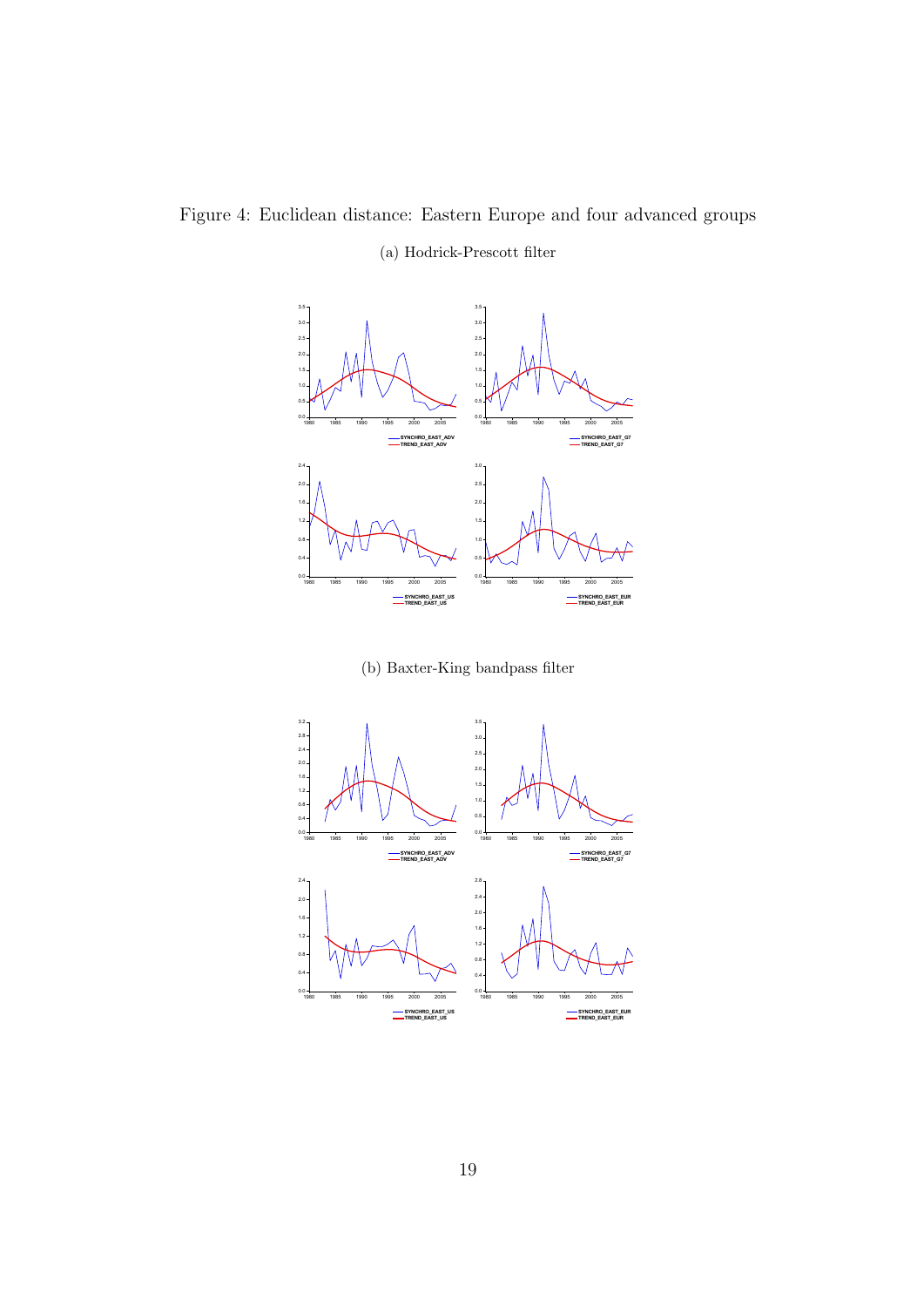Figure 4: Euclidean distance: Eastern Europe and four advanced groups (a) Hodrick-Prescott filter



(b) Baxter-King bandpass filter

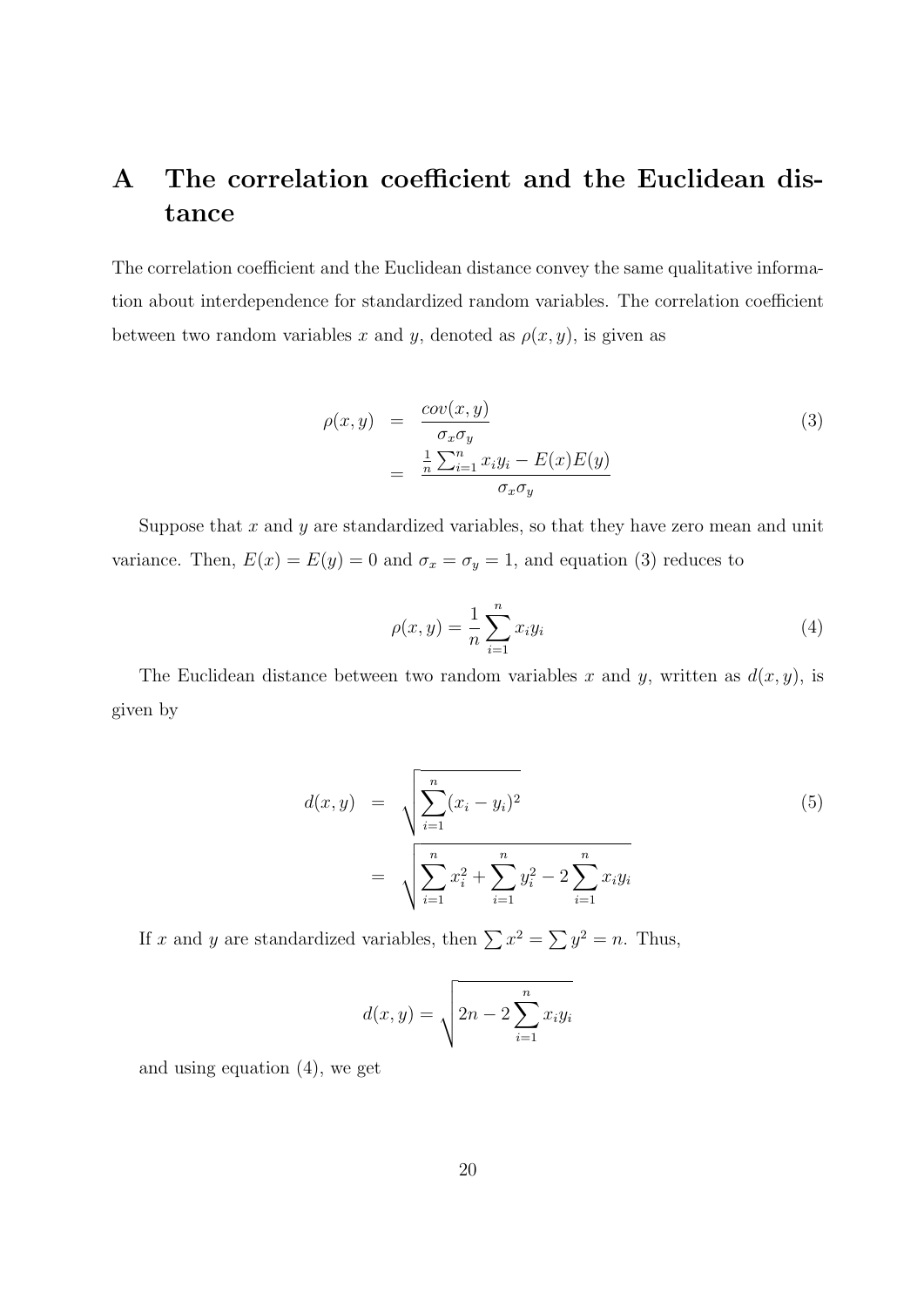## A The correlation coefficient and the Euclidean distance

The correlation coefficient and the Euclidean distance convey the same qualitative information about interdependence for standardized random variables. The correlation coefficient between two random variables x and y, denoted as  $\rho(x, y)$ , is given as

$$
\rho(x,y) = \frac{cov(x,y)}{\sigma_x \sigma_y} \n= \frac{\frac{1}{n} \sum_{i=1}^n x_i y_i - E(x) E(y)}{\sigma_x \sigma_y}
$$
\n(3)

Suppose that  $x$  and  $y$  are standardized variables, so that they have zero mean and unit variance. Then,  $E(x) = E(y) = 0$  and  $\sigma_x = \sigma_y = 1$ , and equation (3) reduces to

$$
\rho(x, y) = \frac{1}{n} \sum_{i=1}^{n} x_i y_i
$$
\n(4)

The Euclidean distance between two random variables x and y, written as  $d(x, y)$ , is given by

$$
d(x,y) = \sqrt{\sum_{i=1}^{n} (x_i - y_i)^2}
$$
  
= 
$$
\sqrt{\sum_{i=1}^{n} x_i^2 + \sum_{i=1}^{n} y_i^2 - 2 \sum_{i=1}^{n} x_i y_i}
$$
 (5)

If x and y are standardized variables, then  $\sum x^2 = \sum y^2 = n$ . Thus,

$$
d(x,y) = \sqrt{2n - 2\sum_{i=1}^{n} x_i y_i}
$$

and using equation (4), we get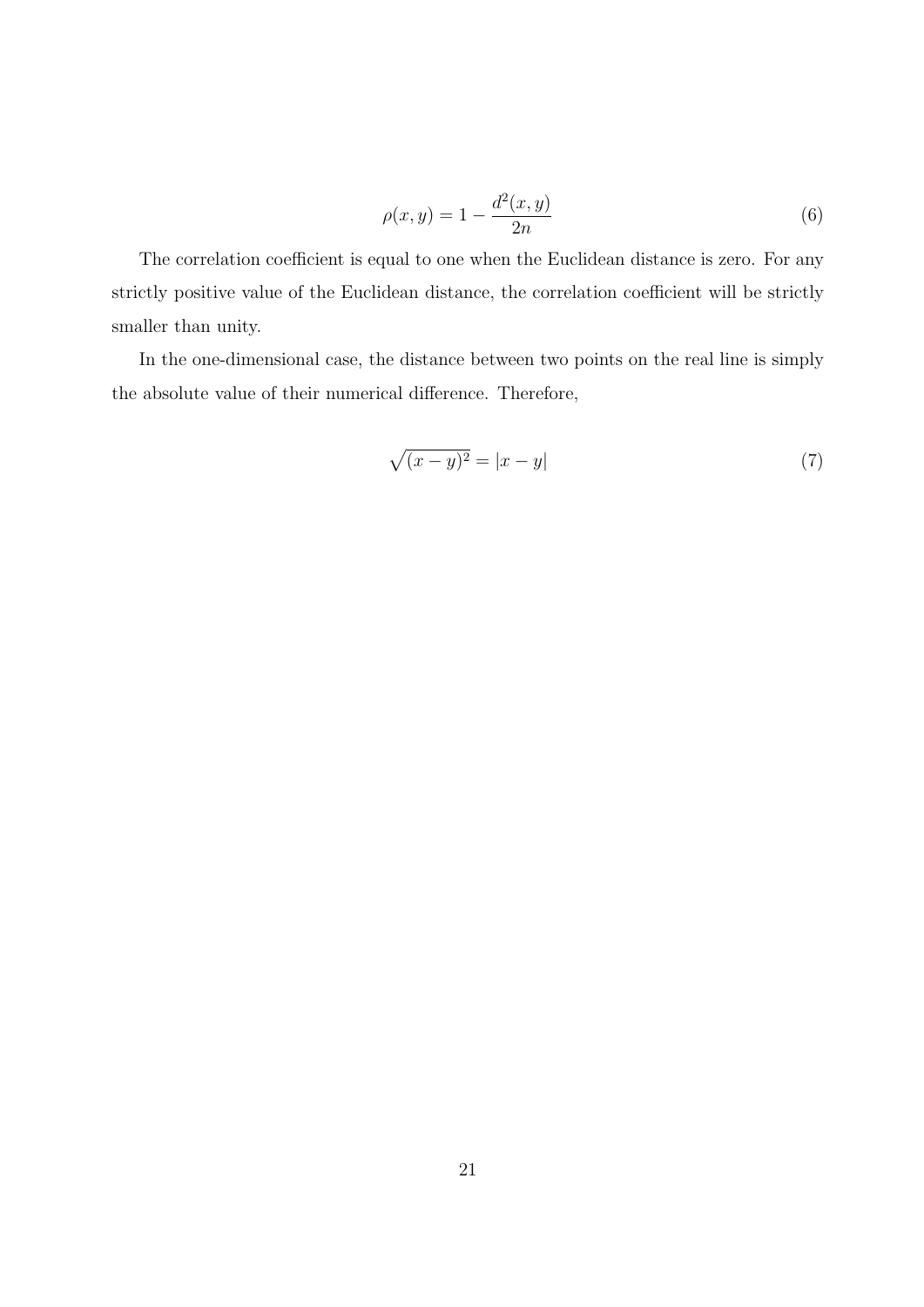$$
\rho(x,y) = 1 - \frac{d^2(x,y)}{2n} \tag{6}
$$

The correlation coefficient is equal to one when the Euclidean distance is zero. For any strictly positive value of the Euclidean distance, the correlation coefficient will be strictly smaller than unity.

In the one-dimensional case, the distance between two points on the real line is simply the absolute value of their numerical difference. Therefore,

$$
\sqrt{(x-y)^2} = |x-y| \tag{7}
$$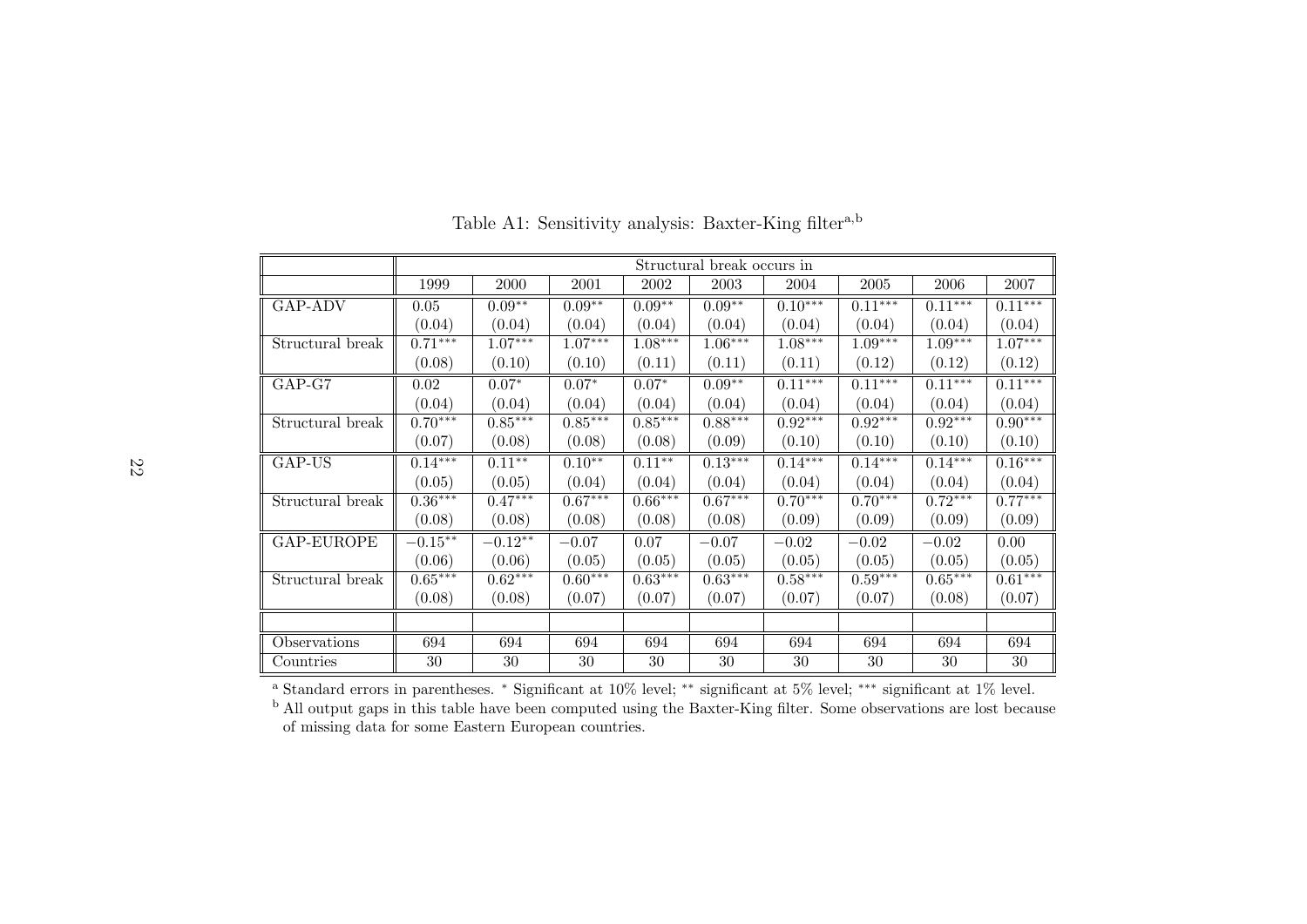|                  |           |           |           |           | Structural break occurs in |           |           |           |           |
|------------------|-----------|-----------|-----------|-----------|----------------------------|-----------|-----------|-----------|-----------|
|                  | 1999      | 2000      | 2001      | 2002      | 2003                       | 2004      | 2005      | 2006      | 2007      |
| GAP-ADV          | 0.05      | $0.09**$  | $0.09**$  | $0.09**$  | $0.09**$                   | $0.10***$ | $0.11***$ | $0.11***$ | $0.11***$ |
|                  | (0.04)    | (0.04)    | (0.04)    | (0.04)    | (0.04)                     | (0.04)    | (0.04)    | (0.04)    | (0.04)    |
| Structural break | $0.71***$ | $1.07***$ | $1.07***$ | $1.08***$ | $1.06***$                  | $1.08***$ | $1.09***$ | $1.09***$ | $1.07***$ |
|                  | (0.08)    | (0.10)    | (0.10)    | (0.11)    | (0.11)                     | (0.11)    | (0.12)    | (0.12)    | (0.12)    |
| GAP-G7           | 0.02      | $0.07*$   | $0.07*$   | $0.07*$   | $0.09**$                   | $0.11***$ | $0.11***$ | $0.11***$ | $0.11***$ |
|                  | (0.04)    | (0.04)    | (0.04)    | (0.04)    | (0.04)                     | (0.04)    | (0.04)    | (0.04)    | (0.04)    |
| Structural break | $0.70***$ | $0.85***$ | $0.85***$ | $0.85***$ | $0.88***$                  | $0.92***$ | $0.92***$ | $0.92***$ | $0.90***$ |
|                  | (0.07)    | (0.08)    | (0.08)    | (0.08)    | (0.09)                     | (0.10)    | (0.10)    | (0.10)    | (0.10)    |
| GAP-US           | $0.14***$ | $0.11***$ | $0.10**$  | $0.11**$  | $0.13***$                  | $0.14***$ | $0.14***$ | $0.14***$ | $0.16***$ |
|                  | (0.05)    | (0.05)    | (0.04)    | (0.04)    | (0.04)                     | (0.04)    | (0.04)    | (0.04)    | (0.04)    |
| Structural break | $0.36***$ | $0.47***$ | $0.67***$ | $0.66***$ | $0.67***$                  | $0.70***$ | $0.70***$ | $0.72***$ | $0.77***$ |
|                  | (0.08)    | (0.08)    | (0.08)    | (0.08)    | (0.08)                     | (0.09)    | (0.09)    | (0.09)    | (0.09)    |
| GAP-EUROPE       | $-0.15**$ | $-0.12**$ | $-0.07$   | 0.07      | $-0.07$                    | $-0.02$   | $-0.02$   | $-0.02$   | 0.00      |
|                  | (0.06)    | (0.06)    | (0.05)    | (0.05)    | (0.05)                     | (0.05)    | (0.05)    | (0.05)    | (0.05)    |
| Structural break | $0.65***$ | $0.62***$ | $0.60***$ | $0.63***$ | $0.63***$                  | $0.58***$ | $0.59***$ | $0.65***$ | $0.61***$ |
|                  | (0.08)    | (0.08)    | (0.07)    | (0.07)    | (0.07)                     | (0.07)    | (0.07)    | (0.08)    | (0.07)    |
|                  |           |           |           |           |                            |           |           |           |           |
| Observations     | 694       | 694       | 694       | 694       | 694                        | 694       | 694       | 694       | 694       |
| Countries        | 30        | 30        | 30        | 30        | 30                         | 30        | 30        | 30        | 30        |

Table A1: Sensitivity analysis: Baxter-King filter<sup>a,b</sup>

<sup>a</sup> Standard errors in parentheses. \* Significant at  $10\%$  level; \*\* significant at  $5\%$  level; \*\*\* significant at  $1\%$  level.<br><sup>b</sup> All output gaps in this table have been computed using the Baxter-King filter. Some obs of missing data for some Eastern European countries.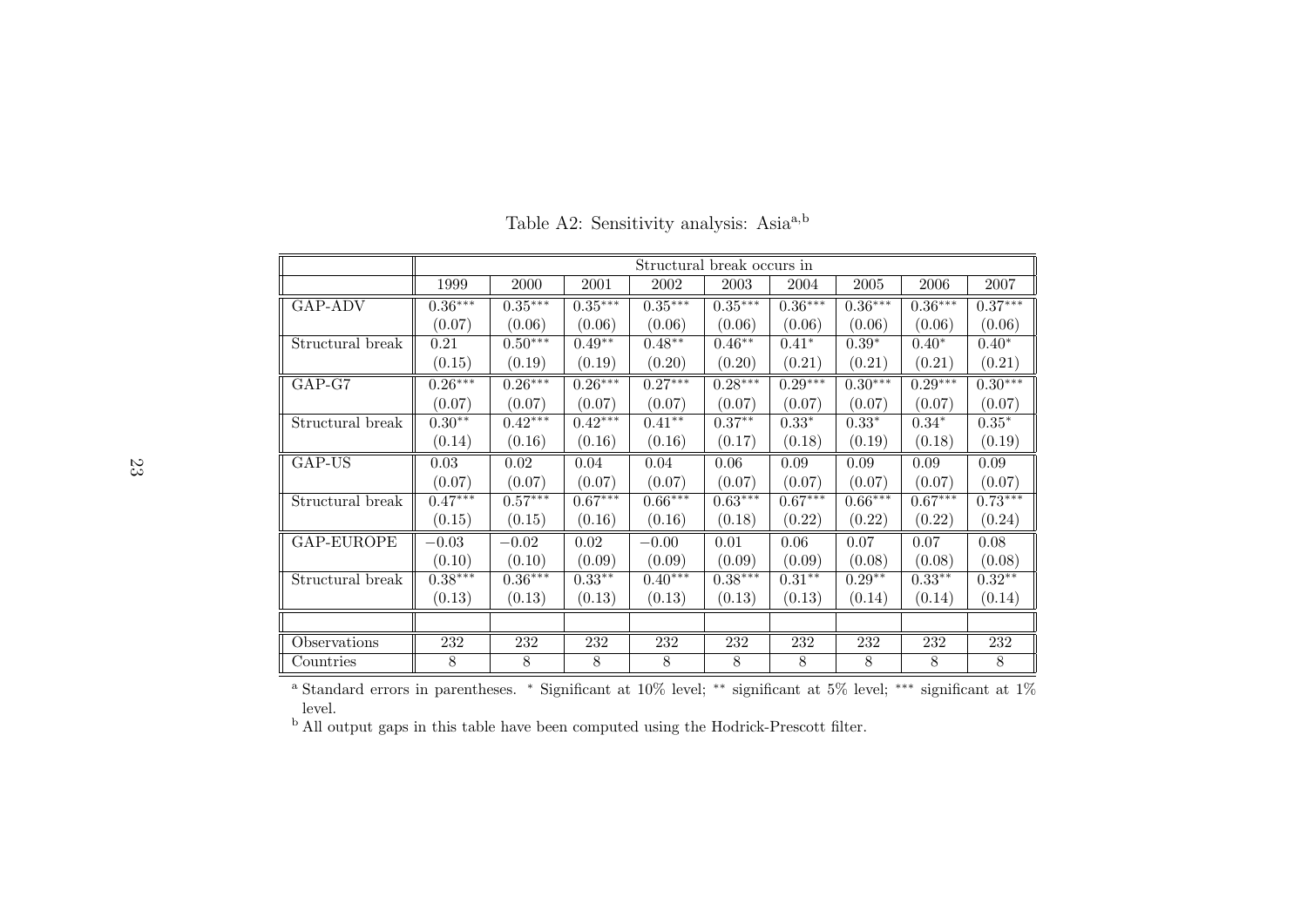|                  |           |           |           | Structural break occurs in |           |           |           |           |           |
|------------------|-----------|-----------|-----------|----------------------------|-----------|-----------|-----------|-----------|-----------|
|                  | 1999      | 2000      | 2001      | 2002                       | 2003      | 2004      | 2005      | 2006      | 2007      |
| <b>GAP-ADV</b>   | $0.36***$ | $0.35***$ | $0.35***$ | $0.35***$                  | $0.35***$ | $0.36***$ | $0.36***$ | $0.36***$ | $0.37***$ |
|                  | (0.07)    | (0.06)    | (0.06)    | (0.06)                     | (0.06)    | (0.06)    | (0.06)    | (0.06)    | (0.06)    |
| Structural break | 0.21      | $0.50***$ | $0.49**$  | $0.48***$                  | $0.46**$  | $0.41*$   | $0.39*$   | $0.40*$   | $0.40*$   |
|                  | (0.15)    | (0.19)    | (0.19)    | (0.20)                     | (0.20)    | (0.21)    | (0.21)    | (0.21)    | (0.21)    |
| GAP-G7           | $0.26***$ | $0.26***$ | $0.26***$ | $0.27***$                  | $0.28***$ | $0.29***$ | $0.30***$ | $0.29***$ | $0.30***$ |
|                  | (0.07)    | (0.07)    | (0.07)    | (0.07)                     | (0.07)    | (0.07)    | (0.07)    | (0.07)    | (0.07)    |
| Structural break | $0.30**$  | $0.42***$ | $0.42***$ | $0.41***$                  | $0.37**$  | $0.33*$   | $0.33*$   | $0.34*$   | $0.35*$   |
|                  | (0.14)    | (0.16)    | (0.16)    | (0.16)                     | (0.17)    | (0.18)    | (0.19)    | (0.18)    | (0.19)    |
| GAP-US           | 0.03      | 0.02      | 0.04      | 0.04                       | 0.06      | 0.09      | 0.09      | 0.09      | 0.09      |
|                  | (0.07)    | (0.07)    | (0.07)    | (0.07)                     | (0.07)    | (0.07)    | (0.07)    | (0.07)    | (0.07)    |
| Structural break | $0.47***$ | $0.57***$ | $0.67***$ | $0.66***$                  | $0.63***$ | $0.67***$ | $0.66***$ | $0.67***$ | $0.73***$ |
|                  | (0.15)    | (0.15)    | (0.16)    | (0.16)                     | (0.18)    | (0.22)    | (0.22)    | (0.22)    | (0.24)    |
| GAP-EUROPE       | $-0.03$   | $-0.02$   | 0.02      | $-0.00$                    | 0.01      | 0.06      | 0.07      | 0.07      | 0.08      |
|                  | (0.10)    | (0.10)    | (0.09)    | (0.09)                     | (0.09)    | (0.09)    | (0.08)    | (0.08)    | (0.08)    |
| Structural break | $0.38***$ | $0.36***$ | $0.33**$  | $0.40***$                  | $0.38***$ | $0.31**$  | $0.29**$  | $0.33**$  | $0.32**$  |
|                  | (0.13)    | (0.13)    | (0.13)    | (0.13)                     | (0.13)    | (0.13)    | (0.14)    | (0.14)    | (0.14)    |
|                  |           |           |           |                            |           |           |           |           |           |
| Observations     | 232       | 232       | 232       | 232                        | 232       | 232       | 232       | 232       | 232       |
| Countries        | 8         | 8         | 8         | 8                          | 8         | 8         | 8         | 8         | 8         |

Table A2: Sensitivity analysis: Asia<sup>a,b</sup>

a Standard errors in parentheses. <sup>∗</sup> Significant at 10% level; ∗∗ significant at 5% level; ∗∗∗ significant at 1%level.

b All output gaps in this table have been computed using the Hodrick-Prescott filter.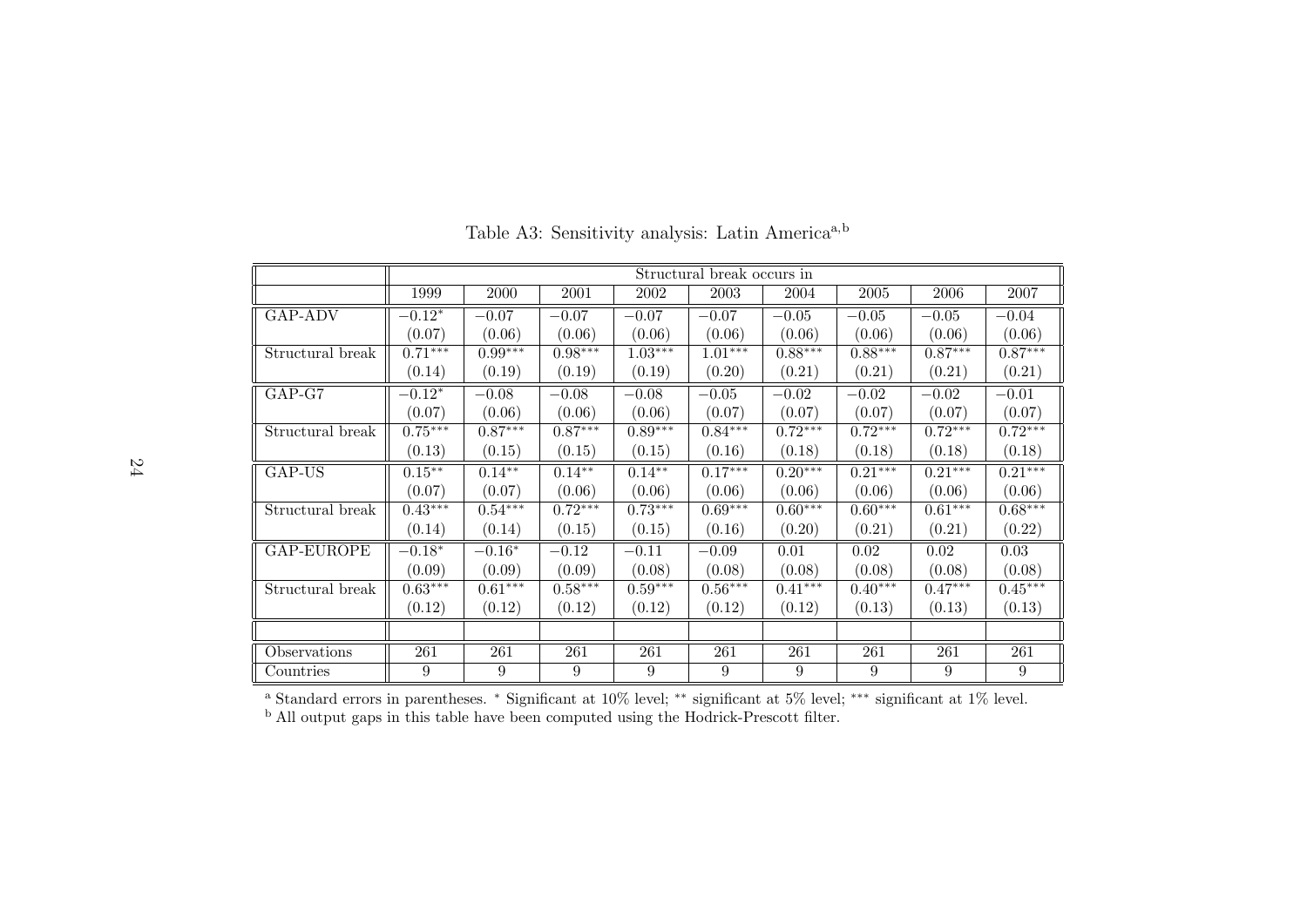|                  |           |           |           |           | Structural break occurs in |           |           |           |           |
|------------------|-----------|-----------|-----------|-----------|----------------------------|-----------|-----------|-----------|-----------|
|                  | 1999      | 2000      | 2001      | 2002      | 2003                       | 2004      | 2005      | 2006      | 2007      |
| GAP-ADV          | $-0.12*$  | $-0.07$   | $-0.07$   | $-0.07$   | $-0.07$                    | $-0.05$   | $-0.05$   | $-0.05$   | $-0.04$   |
|                  | (0.07)    | (0.06)    | (0.06)    | (0.06)    | (0.06)                     | (0.06)    | (0.06)    | (0.06)    | (0.06)    |
| Structural break | $0.71***$ | $0.99***$ | $0.98***$ | $1.03***$ | $1.01***$                  | $0.88***$ | $0.88***$ | $0.87***$ | $0.87***$ |
|                  | (0.14)    | (0.19)    | (0.19)    | (0.19)    | (0.20)                     | (0.21)    | (0.21)    | (0.21)    | (0.21)    |
| GAP-G7           | $-0.12*$  | $-0.08$   | $-0.08$   | $-0.08$   | $-0.05$                    | $-0.02$   | $-0.02$   | $-0.02$   | $-0.01$   |
|                  | (0.07)    | (0.06)    | (0.06)    | (0.06)    | (0.07)                     | (0.07)    | (0.07)    | (0.07)    | (0.07)    |
| Structural break | $0.75***$ | $0.87***$ | $0.87***$ | $0.89***$ | $0.84***$                  | $0.72***$ | $0.72***$ | $0.72***$ | $0.72***$ |
|                  | (0.13)    | (0.15)    | (0.15)    | (0.15)    | (0.16)                     | (0.18)    | (0.18)    | (0.18)    | (0.18)    |
| GAP-US           | $0.15***$ | $0.14***$ | $0.14***$ | $0.14***$ | $0.17***$                  | $0.20***$ | $0.21***$ | $0.21***$ | $0.21***$ |
|                  | (0.07)    | (0.07)    | (0.06)    | (0.06)    | (0.06)                     | (0.06)    | (0.06)    | (0.06)    | (0.06)    |
| Structural break | $0.43***$ | $0.54***$ | $0.72***$ | $0.73***$ | $0.69***$                  | $0.60***$ | $0.60***$ | $0.61***$ | $0.68***$ |
|                  | (0.14)    | (0.14)    | (0.15)    | (0.15)    | (0.16)                     | (0.20)    | (0.21)    | (0.21)    | (0.22)    |
| GAP-EUROPE       | $-0.18*$  | $-0.16*$  | $-0.12$   | $-0.11$   | $-0.09$                    | 0.01      | 0.02      | 0.02      | 0.03      |
|                  | (0.09)    | (0.09)    | (0.09)    | (0.08)    | (0.08)                     | (0.08)    | (0.08)    | (0.08)    | (0.08)    |
| Structural break | $0.63***$ | $0.61***$ | $0.58***$ | $0.59***$ | $0.56***$                  | $0.41***$ | $0.40***$ | $0.47***$ | $0.45***$ |
|                  | (0.12)    | (0.12)    | (0.12)    | (0.12)    | (0.12)                     | (0.12)    | (0.13)    | (0.13)    | (0.13)    |
|                  |           |           |           |           |                            |           |           |           |           |
| Observations     | 261       | 261       | 261       | 261       | 261                        | 261       | 261       | 261       | 261       |
| Countries        | 9         | 9         | 9         | 9         | 9                          | 9         | 9         | 9         | 9         |

Table A3: Sensitivity analysis: Latin America<sup>a,b</sup>

a Standard errors in parentheses. <sup>∗</sup> Significant at 10% level; ∗∗ significant at 5% level; ∗∗∗ significant at 1% level. b All output gaps in this table have been computed using the Hodrick-Prescott filter.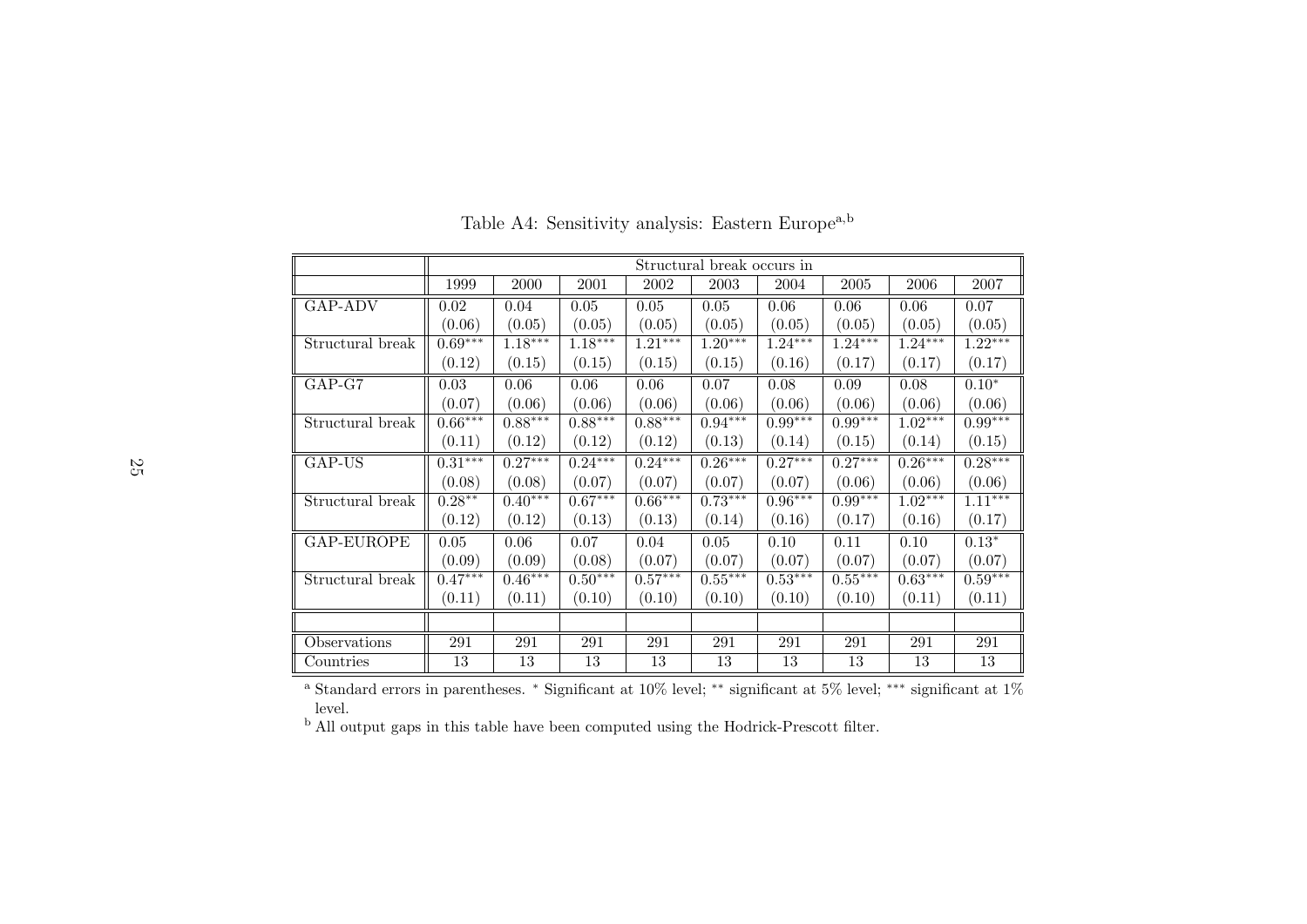|                  |           |           |           |           | Structural break occurs in |           |           |           |           |
|------------------|-----------|-----------|-----------|-----------|----------------------------|-----------|-----------|-----------|-----------|
|                  | 1999      | 2000      | 2001      | 2002      | 2003                       | 2004      | 2005      | 2006      | 2007      |
| GAP-ADV          | 0.02      | 0.04      | 0.05      | 0.05      | 0.05                       | 0.06      | 0.06      | 0.06      | 0.07      |
|                  | (0.06)    | (0.05)    | (0.05)    | (0.05)    | (0.05)                     | (0.05)    | (0.05)    | (0.05)    | (0.05)    |
| Structural break | $0.69***$ | $1.18***$ | $1.18***$ | $1.21***$ | $1.20***$                  | $1.24***$ | $1.24***$ | $1.24***$ | $1.22***$ |
|                  | (0.12)    | (0.15)    | (0.15)    | (0.15)    | (0.15)                     | (0.16)    | (0.17)    | (0.17)    | (0.17)    |
| $GAP-G7$         | 0.03      | 0.06      | 0.06      | 0.06      | 0.07                       | 0.08      | 0.09      | 0.08      | $0.10*$   |
|                  | (0.07)    | (0.06)    | (0.06)    | (0.06)    | (0.06)                     | (0.06)    | (0.06)    | (0.06)    | (0.06)    |
| Structural break | $0.66***$ | $0.88***$ | $0.88***$ | $0.88***$ | $0.94***$                  | $0.99***$ | $0.99***$ | $1.02***$ | $0.99***$ |
|                  | (0.11)    | (0.12)    | (0.12)    | (0.12)    | (0.13)                     | (0.14)    | (0.15)    | (0.14)    | (0.15)    |
| GAP-US           | $0.31***$ | $0.27***$ | $0.24***$ | $0.24***$ | $0.26***$                  | $0.27***$ | $0.27***$ | $0.26***$ | $0.28***$ |
|                  | (0.08)    | (0.08)    | (0.07)    | (0.07)    | (0.07)                     | (0.07)    | (0.06)    | (0.06)    | (0.06)    |
| Structural break | $0.28**$  | $0.40***$ | $0.67***$ | $0.66***$ | $0.73***$                  | $0.96***$ | $0.99***$ | $1.02***$ | $1.11***$ |
|                  | (0.12)    | (0.12)    | (0.13)    | (0.13)    | (0.14)                     | (0.16)    | (0.17)    | (0.16)    | (0.17)    |
| GAP-EUROPE       | 0.05      | 0.06      | 0.07      | 0.04      | 0.05                       | 0.10      | 0.11      | 0.10      | $0.13*$   |
|                  | (0.09)    | (0.09)    | (0.08)    | (0.07)    | (0.07)                     | (0.07)    | (0.07)    | (0.07)    | (0.07)    |
| Structural break | $0.47***$ | $0.46***$ | $0.50***$ | $0.57***$ | $0.55***$                  | $0.53***$ | $0.55***$ | $0.63***$ | $0.59***$ |
|                  | (0.11)    | (0.11)    | (0.10)    | (0.10)    | (0.10)                     | (0.10)    | (0.10)    | (0.11)    | (0.11)    |
|                  |           |           |           |           |                            |           |           |           |           |
| Observations     | 291       | 291       | 291       | 291       | 291                        | 291       | 291       | 291       | 291       |
| Countries        | 13        | 13        | 13        | 13        | 13                         | 13        | 13        | 13        | 13        |

Table A4: Sensitivity analysis: Eastern Europe<sup>a,b</sup>

a Standard errors in parentheses. <sup>∗</sup> Significant at 10% level; ∗∗ significant at 5% level; ∗∗∗ significant at 1%level.

b All output gaps in this table have been computed using the Hodrick-Prescott filter.